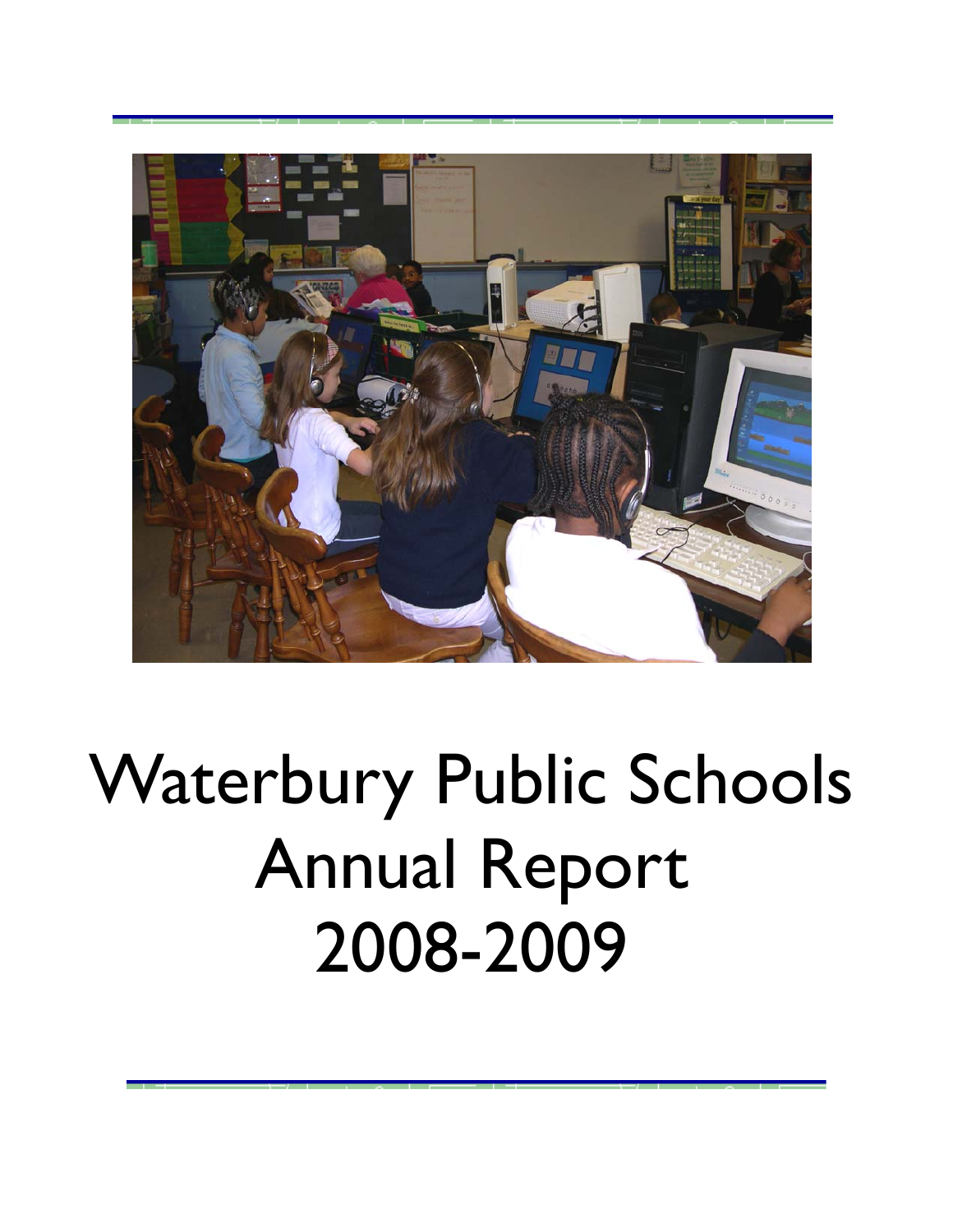

# Waterbury Public Schools Annual Report 2008-2009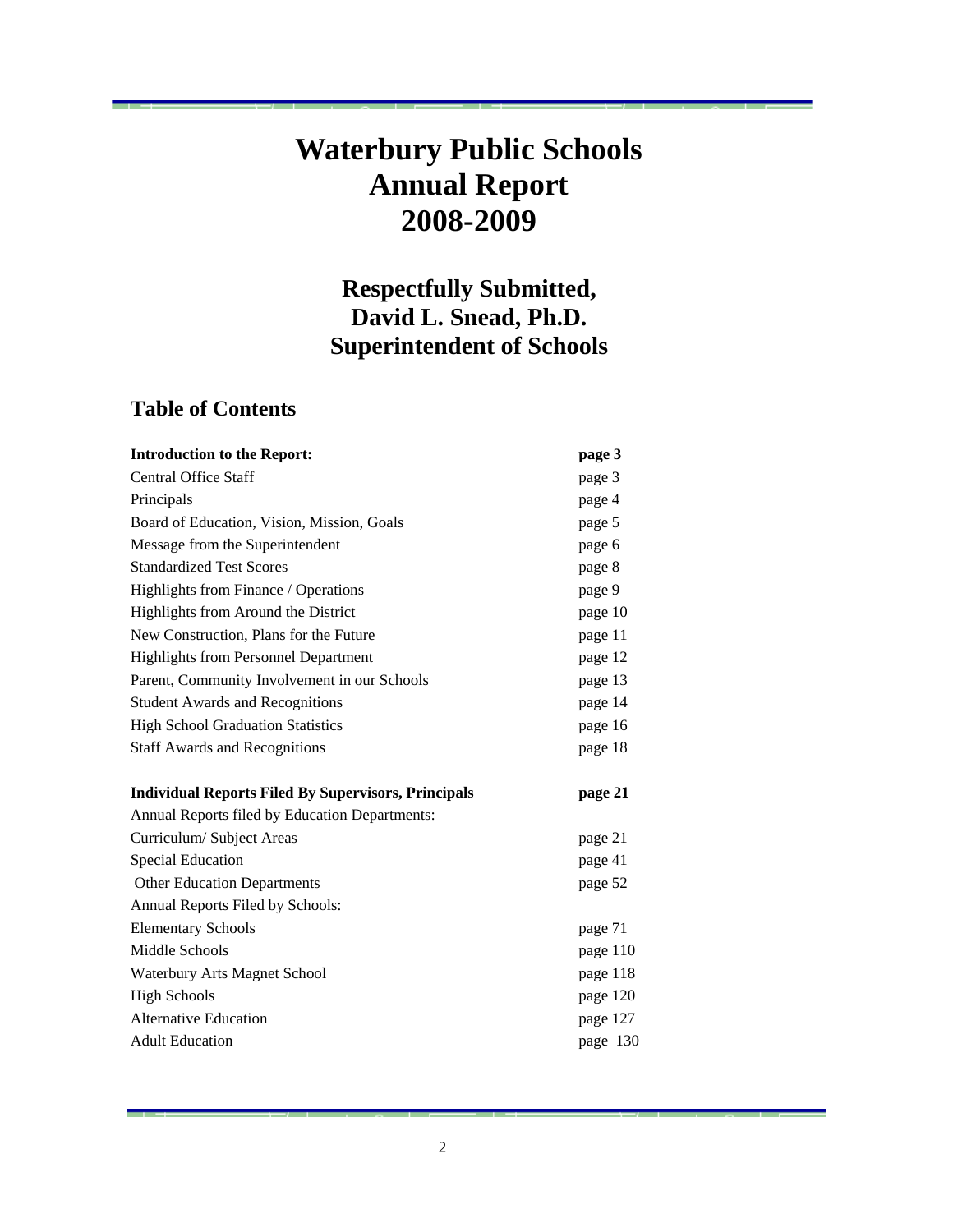## **Waterbury Public Schools Annual Report 2008-2009**

### **Respectfully Submitted, David L. Snead, Ph.D. Superintendent of Schools**

### **Table of Contents**

| <b>Introduction to the Report:</b>                         | page 3   |
|------------------------------------------------------------|----------|
| <b>Central Office Staff</b>                                | page 3   |
| Principals                                                 | page 4   |
| Board of Education, Vision, Mission, Goals                 | page 5   |
| Message from the Superintendent                            | page 6   |
| <b>Standardized Test Scores</b>                            | page 8   |
| Highlights from Finance / Operations                       | page 9   |
| Highlights from Around the District                        | page 10  |
| New Construction, Plans for the Future                     | page 11  |
| <b>Highlights from Personnel Department</b>                | page 12  |
| Parent, Community Involvement in our Schools               | page 13  |
| <b>Student Awards and Recognitions</b>                     | page 14  |
| <b>High School Graduation Statistics</b>                   | page 16  |
| <b>Staff Awards and Recognitions</b>                       | page 18  |
| <b>Individual Reports Filed By Supervisors, Principals</b> | page 21  |
| Annual Reports filed by Education Departments:             |          |
| Curriculum/Subject Areas                                   | page 21  |
| <b>Special Education</b>                                   | page 41  |
| <b>Other Education Departments</b>                         | page 52  |
| Annual Reports Filed by Schools:                           |          |
| <b>Elementary Schools</b>                                  | page 71  |
| Middle Schools                                             | page 110 |
| Waterbury Arts Magnet School                               | page 118 |
| <b>High Schools</b>                                        | page 120 |
| <b>Alternative Education</b>                               | page 127 |
| <b>Adult Education</b>                                     | page 130 |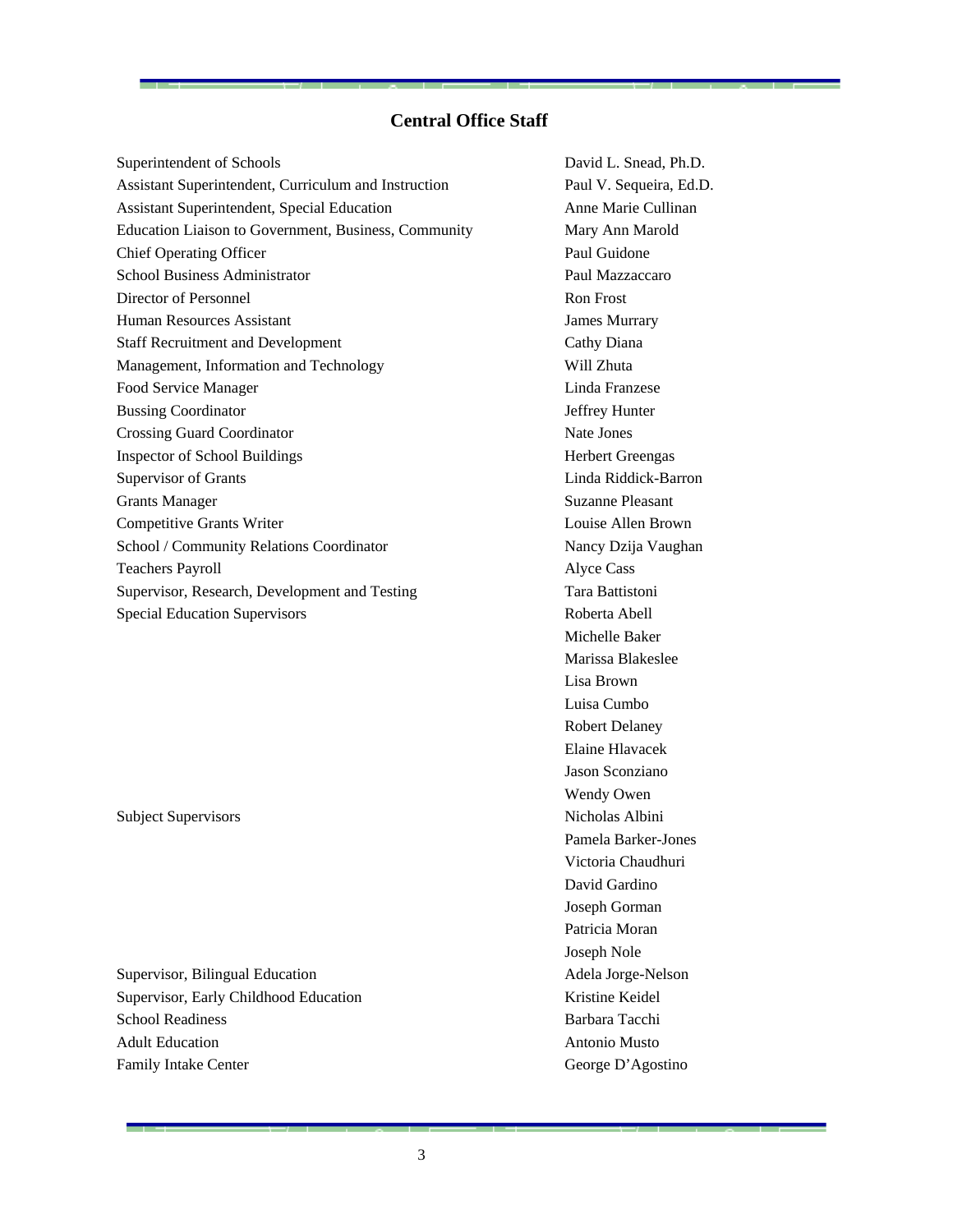### **Central Office Staff**

Superintendent of Schools David L. Snead, Ph.D. Assistant Superintendent, Curriculum and Instruction Paul V. Sequeira, Ed.D. Assistant Superintendent, Special Education **Anne Marie Cullinan** Anne Marie Cullinan Education Liaison to Government, Business, Community Mary Ann Marold Chief Operating Officer Paul Guidone School Business Administrator Paul Mazzaccaro Director of Personnel Ron Frost Human Resources Assistant James Murrary Staff Recruitment and Development Cathy Diana Management, Information and Technology Will Zhuta Food Service Manager Linda Franzese Bussing Coordinator **Jeffrey Hunter** Crossing Guard Coordinator Nate Jones **Inspector of School Buildings** Herbert Greengas Herbert Greengas Supervisor of Grants Linda Riddick-Barron Grants Manager Suzanne Pleasant Competitive Grants Writer Louise Allen Brown School / Community Relations Coordinator Nancy Dzija Vaughan Teachers Payroll **Alyce Cass** Supervisor, Research, Development and Testing Tara Battistoni Special Education Supervisors Roberta Abell

Subject Supervisors Nicholas Albini

Supervisor, Bilingual Education Adela Jorge-Nelson Supervisor, Early Childhood Education **Kristine Keidel** School Readiness **Barbara Tacchi** Adult Education Antonio Musto Family Intake Center George D'Agostino

 Michelle Baker Marissa Blakeslee Lisa Brown Luisa Cumbo Robert Delaney Elaine Hlavacek Jason Sconziano Wendy Owen Pamela Barker-Jones Victoria Chaudhuri David Gardino Joseph Gorman Patricia Moran Joseph Nole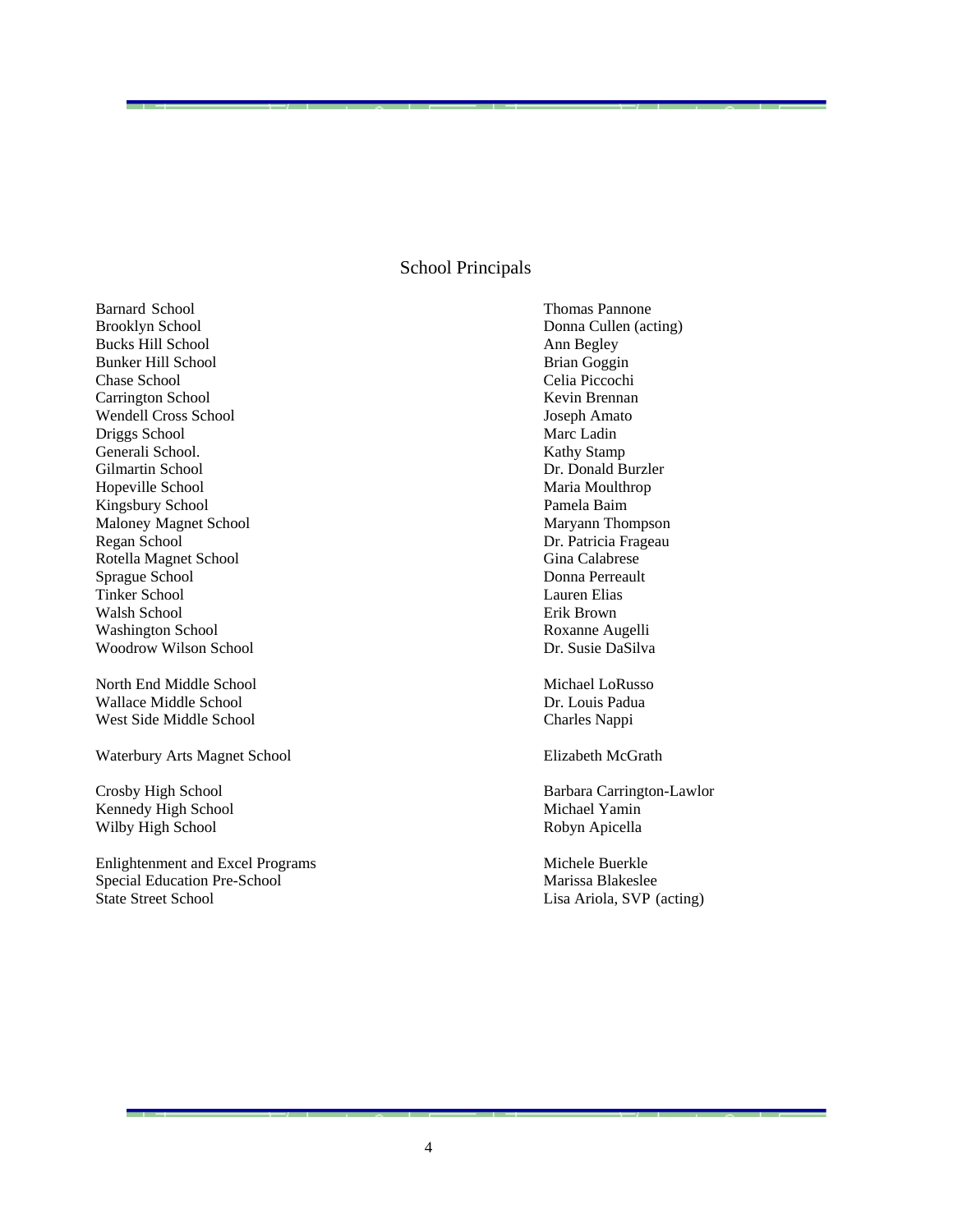### School Principals

Barnard School Thomas Pannone Brooklyn School Donna Cullen (acting) Bucks Hill School **Ann Begley** Bunker Hill School Brian Goggin Chase School Celia Piccochi Carrington School **Kevin Brennan** Wendell Cross School Joseph Amato Driggs School Marc Ladin Generali School. Kathy Stamp Gilmartin School Dr. Donald Burzler Hopeville School Maria Moulthrop Kingsbury School Pamela Baim Maloney Magnet School Maryann Thompson Regan School Dr. Patricia Frageau Rotella Magnet School Gina Calabrese Sprague School **Donna Perreault** Donna Perreault Tinker School Lauren Elias Walsh School **Existence** Erik Brown Washington School Roxanne Augelli Woodrow Wilson School Dr. Susie DaSilva

North End Middle School and Michael LoRusso Wallace Middle School **Dr. Louis Padua** West Side Middle School Charles Nappi

Waterbury Arts Magnet School **Elizabeth McGrath** 

Kennedy High School Nichael Yamin Wilby High School **Robyn Apicella** 

Enlightenment and Excel Programs Michele Buerkle Special Education Pre-School Marissa Blakeslee State Street School Lisa Ariola, SVP (acting)

Crosby High School Barbara Carrington-Lawlor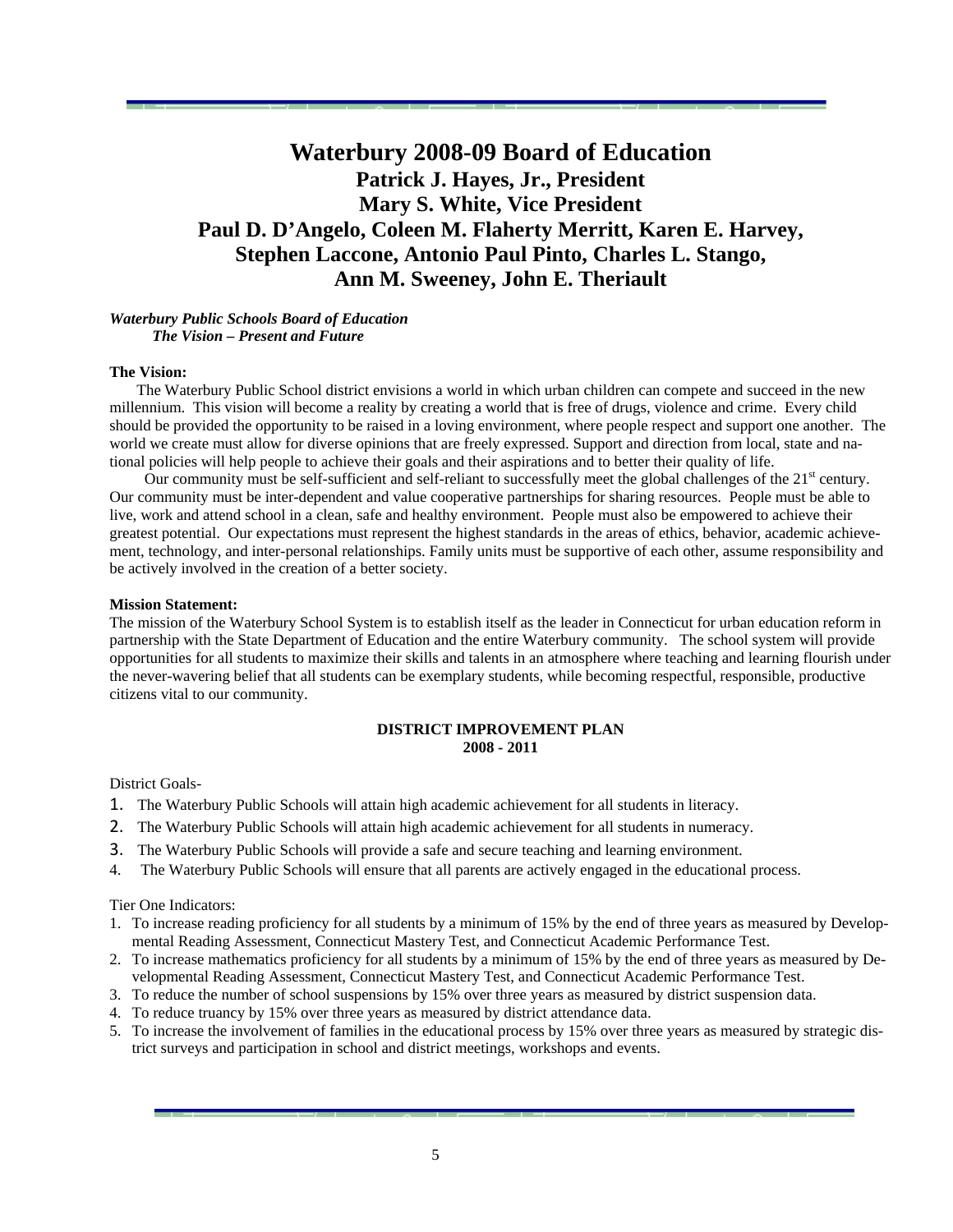### **Waterbury 2008-09 Board of Education Patrick J. Hayes, Jr., President Mary S. White, Vice President Paul D. D'Angelo, Coleen M. Flaherty Merritt, Karen E. Harvey, Stephen Laccone, Antonio Paul Pinto, Charles L. Stango, Ann M. Sweeney, John E. Theriault**

### *Waterbury Public Schools Board of Education The Vision – Present and Future*

### **The Vision:**

 The Waterbury Public School district envisions a world in which urban children can compete and succeed in the new millennium. This vision will become a reality by creating a world that is free of drugs, violence and crime. Every child should be provided the opportunity to be raised in a loving environment, where people respect and support one another. The world we create must allow for diverse opinions that are freely expressed. Support and direction from local, state and national policies will help people to achieve their goals and their aspirations and to better their quality of life.

Our community must be self-sufficient and self-reliant to successfully meet the global challenges of the  $21<sup>st</sup>$  century. Our community must be inter-dependent and value cooperative partnerships for sharing resources. People must be able to live, work and attend school in a clean, safe and healthy environment. People must also be empowered to achieve their greatest potential. Our expectations must represent the highest standards in the areas of ethics, behavior, academic achievement, technology, and inter-personal relationships. Family units must be supportive of each other, assume responsibility and be actively involved in the creation of a better society.

#### **Mission Statement:**

The mission of the Waterbury School System is to establish itself as the leader in Connecticut for urban education reform in partnership with the State Department of Education and the entire Waterbury community. The school system will provide opportunities for all students to maximize their skills and talents in an atmosphere where teaching and learning flourish under the never-wavering belief that all students can be exemplary students, while becoming respectful, responsible, productive citizens vital to our community.

### **DISTRICT IMPROVEMENT PLAN 2008 - 2011**

#### District Goals-

- 1. The Waterbury Public Schools will attain high academic achievement for all students in literacy.
- 2. The Waterbury Public Schools will attain high academic achievement for all students in numeracy.
- 3. The Waterbury Public Schools will provide a safe and secure teaching and learning environment.
- 4. The Waterbury Public Schools will ensure that all parents are actively engaged in the educational process.

Tier One Indicators:

- 1. To increase reading proficiency for all students by a minimum of 15% by the end of three years as measured by Developmental Reading Assessment, Connecticut Mastery Test, and Connecticut Academic Performance Test.
- 2. To increase mathematics proficiency for all students by a minimum of 15% by the end of three years as measured by Developmental Reading Assessment, Connecticut Mastery Test, and Connecticut Academic Performance Test.
- 3. To reduce the number of school suspensions by 15% over three years as measured by district suspension data.
- 4. To reduce truancy by 15% over three years as measured by district attendance data.
- 5. To increase the involvement of families in the educational process by 15% over three years as measured by strategic district surveys and participation in school and district meetings, workshops and events.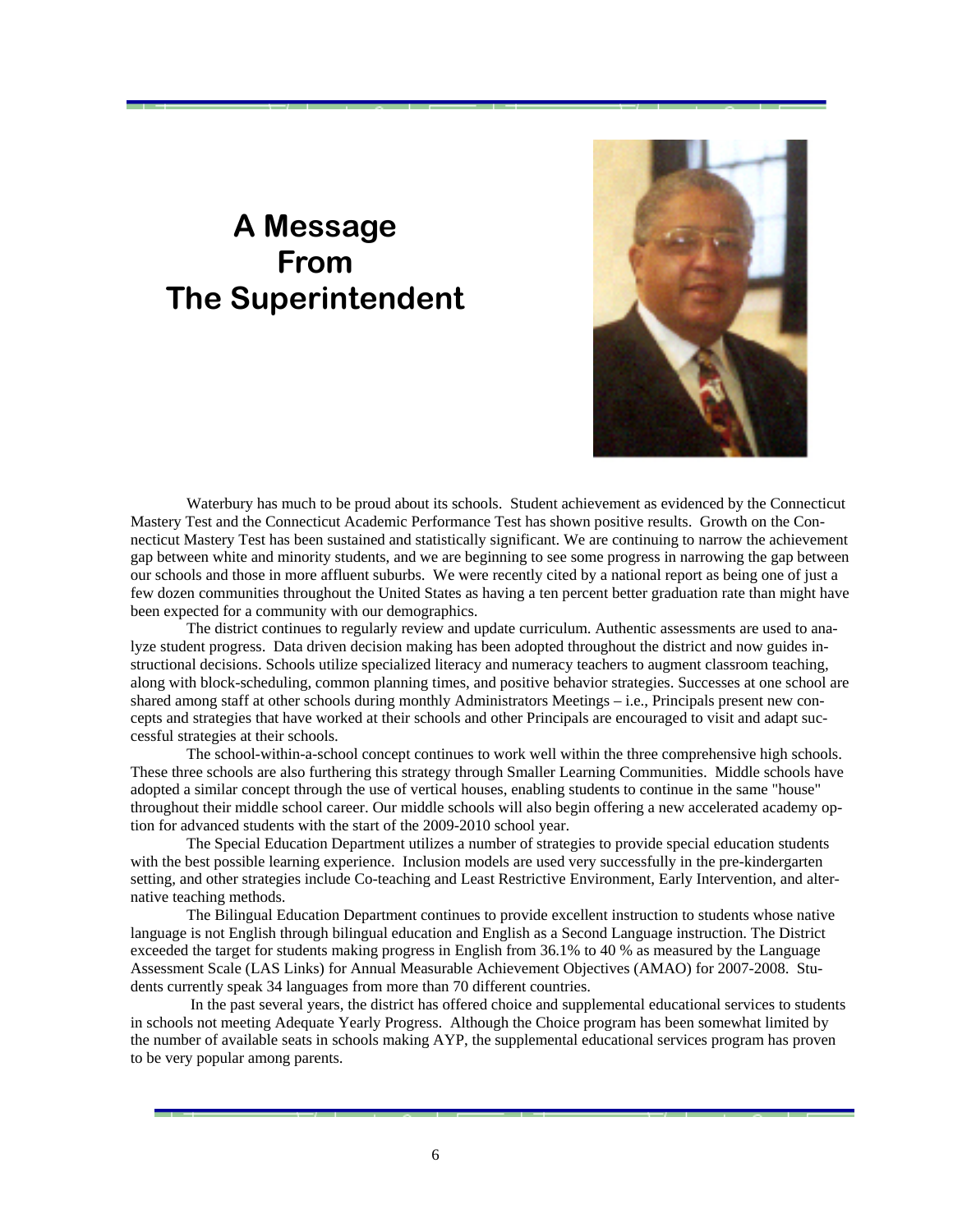# **A Message From The Superintendent**



 Waterbury has much to be proud about its schools. Student achievement as evidenced by the Connecticut Mastery Test and the Connecticut Academic Performance Test has shown positive results. Growth on the Connecticut Mastery Test has been sustained and statistically significant. We are continuing to narrow the achievement gap between white and minority students, and we are beginning to see some progress in narrowing the gap between our schools and those in more affluent suburbs. We were recently cited by a national report as being one of just a few dozen communities throughout the United States as having a ten percent better graduation rate than might have been expected for a community with our demographics.

 The district continues to regularly review and update curriculum. Authentic assessments are used to analyze student progress. Data driven decision making has been adopted throughout the district and now guides instructional decisions. Schools utilize specialized literacy and numeracy teachers to augment classroom teaching, along with block-scheduling, common planning times, and positive behavior strategies. Successes at one school are shared among staff at other schools during monthly Administrators Meetings – i.e., Principals present new concepts and strategies that have worked at their schools and other Principals are encouraged to visit and adapt successful strategies at their schools.

 The school-within-a-school concept continues to work well within the three comprehensive high schools. These three schools are also furthering this strategy through Smaller Learning Communities. Middle schools have adopted a similar concept through the use of vertical houses, enabling students to continue in the same "house" throughout their middle school career. Our middle schools will also begin offering a new accelerated academy option for advanced students with the start of the 2009-2010 school year.

 The Special Education Department utilizes a number of strategies to provide special education students with the best possible learning experience. Inclusion models are used very successfully in the pre-kindergarten setting, and other strategies include Co-teaching and Least Restrictive Environment, Early Intervention, and alternative teaching methods.

 The Bilingual Education Department continues to provide excellent instruction to students whose native language is not English through bilingual education and English as a Second Language instruction. The District exceeded the target for students making progress in English from 36.1% to 40 % as measured by the Language Assessment Scale (LAS Links) for Annual Measurable Achievement Objectives (AMAO) for 2007-2008. Students currently speak 34 languages from more than 70 different countries.

 In the past several years, the district has offered choice and supplemental educational services to students in schools not meeting Adequate Yearly Progress. Although the Choice program has been somewhat limited by the number of available seats in schools making AYP, the supplemental educational services program has proven to be very popular among parents.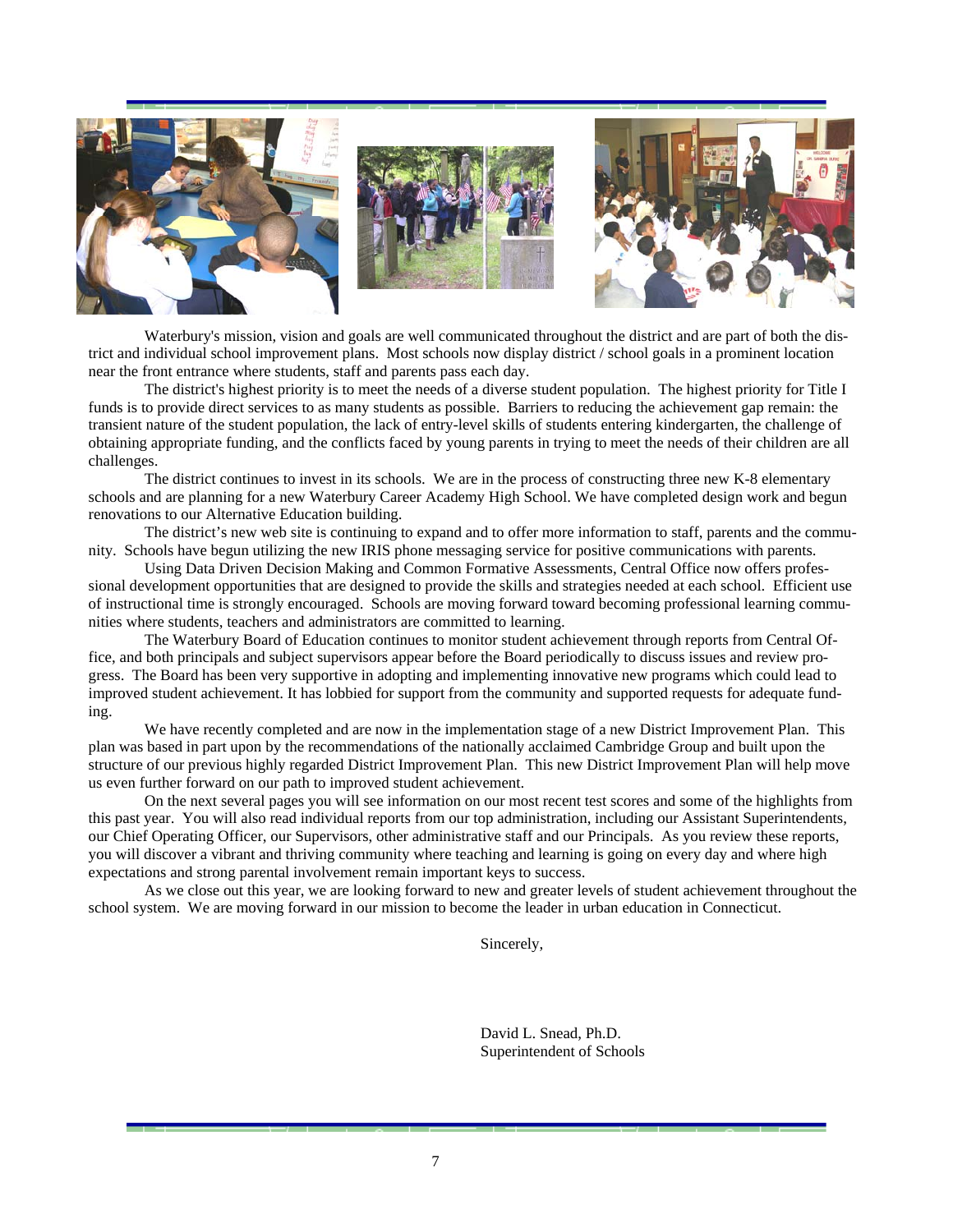

 Waterbury's mission, vision and goals are well communicated throughout the district and are part of both the district and individual school improvement plans. Most schools now display district / school goals in a prominent location near the front entrance where students, staff and parents pass each day.

 The district's highest priority is to meet the needs of a diverse student population. The highest priority for Title I funds is to provide direct services to as many students as possible. Barriers to reducing the achievement gap remain: the transient nature of the student population, the lack of entry-level skills of students entering kindergarten, the challenge of obtaining appropriate funding, and the conflicts faced by young parents in trying to meet the needs of their children are all challenges.

 The district continues to invest in its schools. We are in the process of constructing three new K-8 elementary schools and are planning for a new Waterbury Career Academy High School. We have completed design work and begun renovations to our Alternative Education building.

 The district's new web site is continuing to expand and to offer more information to staff, parents and the community. Schools have begun utilizing the new IRIS phone messaging service for positive communications with parents.

 Using Data Driven Decision Making and Common Formative Assessments, Central Office now offers professional development opportunities that are designed to provide the skills and strategies needed at each school. Efficient use of instructional time is strongly encouraged. Schools are moving forward toward becoming professional learning communities where students, teachers and administrators are committed to learning.

 The Waterbury Board of Education continues to monitor student achievement through reports from Central Office, and both principals and subject supervisors appear before the Board periodically to discuss issues and review progress. The Board has been very supportive in adopting and implementing innovative new programs which could lead to improved student achievement. It has lobbied for support from the community and supported requests for adequate funding.

We have recently completed and are now in the implementation stage of a new District Improvement Plan. This plan was based in part upon by the recommendations of the nationally acclaimed Cambridge Group and built upon the structure of our previous highly regarded District Improvement Plan. This new District Improvement Plan will help move us even further forward on our path to improved student achievement.

 On the next several pages you will see information on our most recent test scores and some of the highlights from this past year. You will also read individual reports from our top administration, including our Assistant Superintendents, our Chief Operating Officer, our Supervisors, other administrative staff and our Principals. As you review these reports, you will discover a vibrant and thriving community where teaching and learning is going on every day and where high expectations and strong parental involvement remain important keys to success.

 As we close out this year, we are looking forward to new and greater levels of student achievement throughout the school system. We are moving forward in our mission to become the leader in urban education in Connecticut.

Sincerely,

 David L. Snead, Ph.D. Superintendent of Schools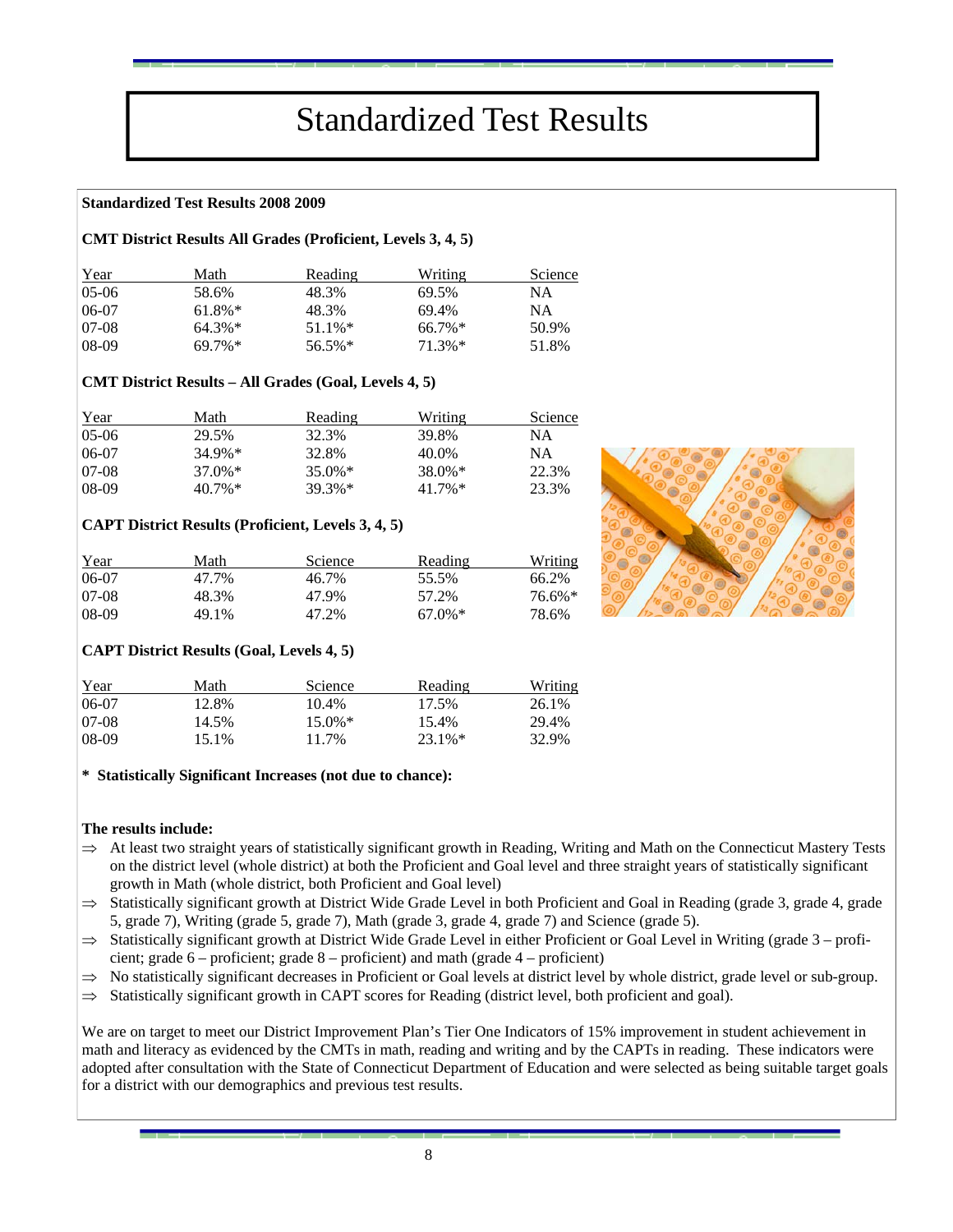# Standardized Test Results

### **Standardized Test Results 2008 2009**

### **CMT District Results All Grades (Proficient, Levels 3, 4, 5)**

| Year    | Math      | Reading   | Writing   | Science   |
|---------|-----------|-----------|-----------|-----------|
| $05-06$ | 58.6%     | 48.3%     | 69.5%     | <b>NA</b> |
| 06-07   | $61.8\%*$ | 48.3%     | 69.4%     | NA        |
| 07-08   | $64.3\%*$ | $51.1\%*$ | $66.7\%*$ | 50.9%     |
| 08-09   | $69.7\%*$ | $56.5\%*$ | $71.3\%*$ | 51.8%     |

### **CMT District Results – All Grades (Goal, Levels 4, 5)**

| Year    | Math      | Reading   | Writing   | Science |
|---------|-----------|-----------|-----------|---------|
| 05-06   | 29.5%     | 32.3%     | 39.8%     | ΝA      |
| 06-07   | $34.9\%*$ | 32.8%     | 40.0%     | ΝA      |
| 07-08   | $37.0\%*$ | $35.0\%*$ | $38.0\%*$ | 22.3%   |
| $08-09$ | $40.7\%*$ | $39.3%*$  | $41.7\%*$ | 23.3%   |

### **CAPT District Results (Proficient, Levels 3, 4, 5)**

| Year   | Math  | <b>Science</b> | Reading   | Writing   |
|--------|-------|----------------|-----------|-----------|
| 06-07  | 47.7% | 46.7%          | 55.5%     | 66.2%     |
| 107-08 | 48.3% | 47.9%          | 57.2%     | $76.6\%*$ |
| 08-09  | 49.1% | 47.2%          | $67.0\%*$ | 78.6%     |

### **CAPT District Results (Goal, Levels 4, 5)**

| Year  | Math  | Science   | Reading   | Writing |
|-------|-------|-----------|-----------|---------|
| 06-07 | 12.8% | 10.4%     | 17.5%     | 26.1%   |
| 07-08 | 14.5% | $15.0\%*$ | 15.4%     | 29.4%   |
| 08-09 | 15.1% | 11.7%     | $23.1\%*$ | 32.9%   |

### **\* Statistically Significant Increases (not due to chance):**

### **The results include:**

- $\Rightarrow$  At least two straight years of statistically significant growth in Reading, Writing and Math on the Connecticut Mastery Tests on the district level (whole district) at both the Proficient and Goal level and three straight years of statistically significant growth in Math (whole district, both Proficient and Goal level)
- $\Rightarrow$  Statistically significant growth at District Wide Grade Level in both Proficient and Goal in Reading (grade 3, grade 4, grade 5, grade 7), Writing (grade 5, grade 7), Math (grade 3, grade 4, grade 7) and Science (grade 5).
- $\Rightarrow$  Statistically significant growth at District Wide Grade Level in either Proficient or Goal Level in Writing (grade  $3$  proficient; grade 6 – proficient; grade 8 – proficient) and math (grade 4 – proficient)
- $\Rightarrow$  No statistically significant decreases in Proficient or Goal levels at district level by whole district, grade level or sub-group.
- $\Rightarrow$  Statistically significant growth in CAPT scores for Reading (district level, both proficient and goal).

We are on target to meet our District Improvement Plan's Tier One Indicators of 15% improvement in student achievement in math and literacy as evidenced by the CMTs in math, reading and writing and by the CAPTs in reading. These indicators were adopted after consultation with the State of Connecticut Department of Education and were selected as being suitable target goals for a district with our demographics and previous test results.

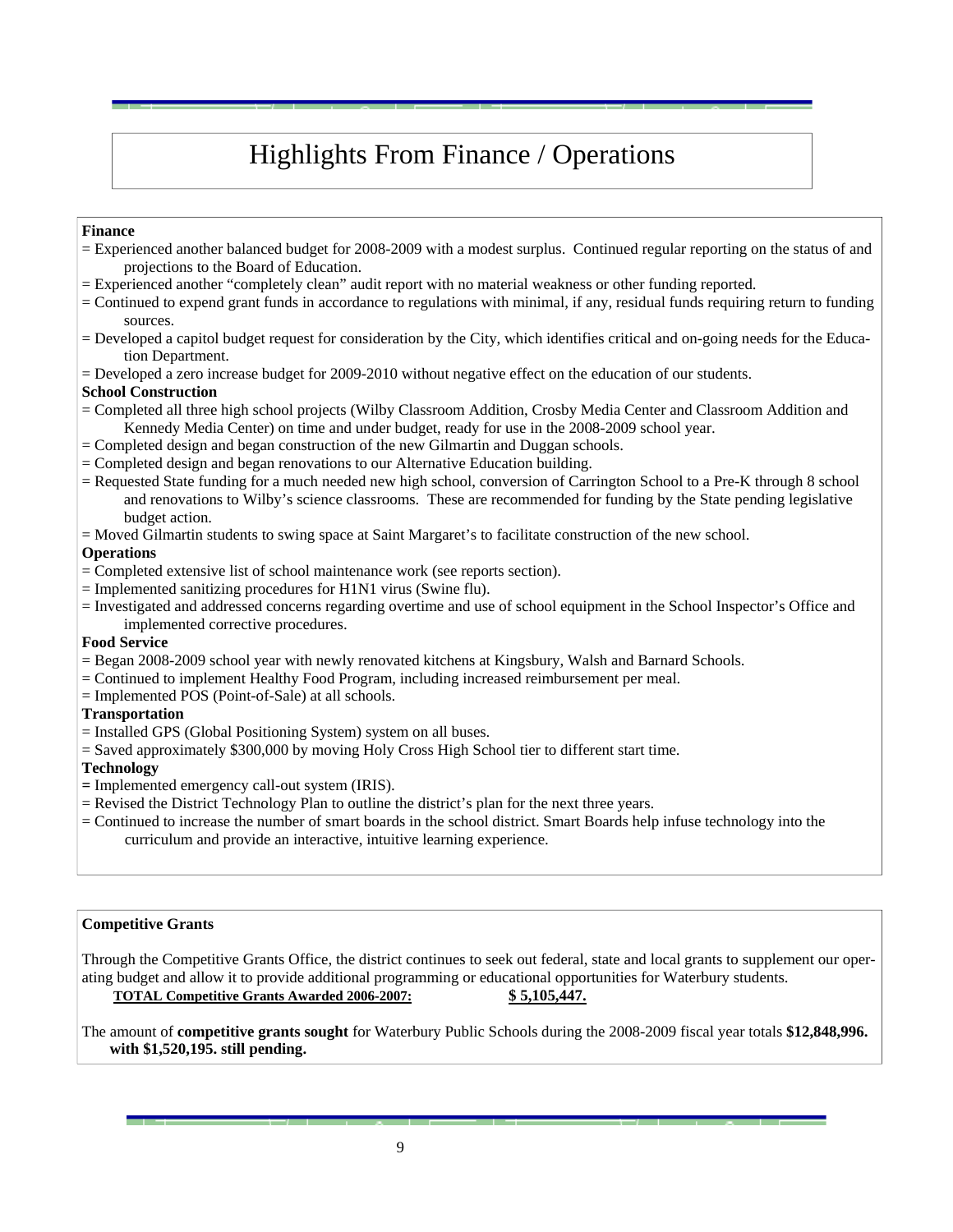## Highlights From Finance / Operations

### **Finance**

- = Experienced another balanced budget for 2008-2009 with a modest surplus. Continued regular reporting on the status of and projections to the Board of Education.
- = Experienced another "completely clean" audit report with no material weakness or other funding reported.
- = Continued to expend grant funds in accordance to regulations with minimal, if any, residual funds requiring return to funding sources.
- = Developed a capitol budget request for consideration by the City, which identifies critical and on-going needs for the Education Department.
- = Developed a zero increase budget for 2009-2010 without negative effect on the education of our students.

### **School Construction**

- = Completed all three high school projects (Wilby Classroom Addition, Crosby Media Center and Classroom Addition and Kennedy Media Center) on time and under budget, ready for use in the 2008-2009 school year.
- = Completed design and began construction of the new Gilmartin and Duggan schools.
- = Completed design and began renovations to our Alternative Education building.
- = Requested State funding for a much needed new high school, conversion of Carrington School to a Pre-K through 8 school and renovations to Wilby's science classrooms. These are recommended for funding by the State pending legislative budget action.
- = Moved Gilmartin students to swing space at Saint Margaret's to facilitate construction of the new school.

### **Operations**

- = Completed extensive list of school maintenance work (see reports section).
- = Implemented sanitizing procedures for H1N1 virus (Swine flu).
- = Investigated and addressed concerns regarding overtime and use of school equipment in the School Inspector's Office and implemented corrective procedures.

### **Food Service**

- = Began 2008-2009 school year with newly renovated kitchens at Kingsbury, Walsh and Barnard Schools.
- = Continued to implement Healthy Food Program, including increased reimbursement per meal.
- = Implemented POS (Point-of-Sale) at all schools.

### **Transportation**

- = Installed GPS (Global Positioning System) system on all buses.
- = Saved approximately \$300,000 by moving Holy Cross High School tier to different start time.

### **Technology**

- 
- **=** Implemented emergency call-out system (IRIS).
- = Continued to increase the number of smart boards in the school district. Smart Boards help infuse technology into the curriculum and provide an interactive, intuitive learning experience.

### **Competitive Grants**

Through the Competitive Grants Office, the district continues to seek out federal, state and local grants to supplement our operating budget and allow it to provide additional programming or educational opportunities for Waterbury students.

### **TOTAL Competitive Grants Awarded 2006-2007: \$ 5,105,447.**

The amount of **competitive grants sought** for Waterbury Public Schools during the 2008-2009 fiscal year totals **\$12,848,996. with \$1,520,195. still pending.**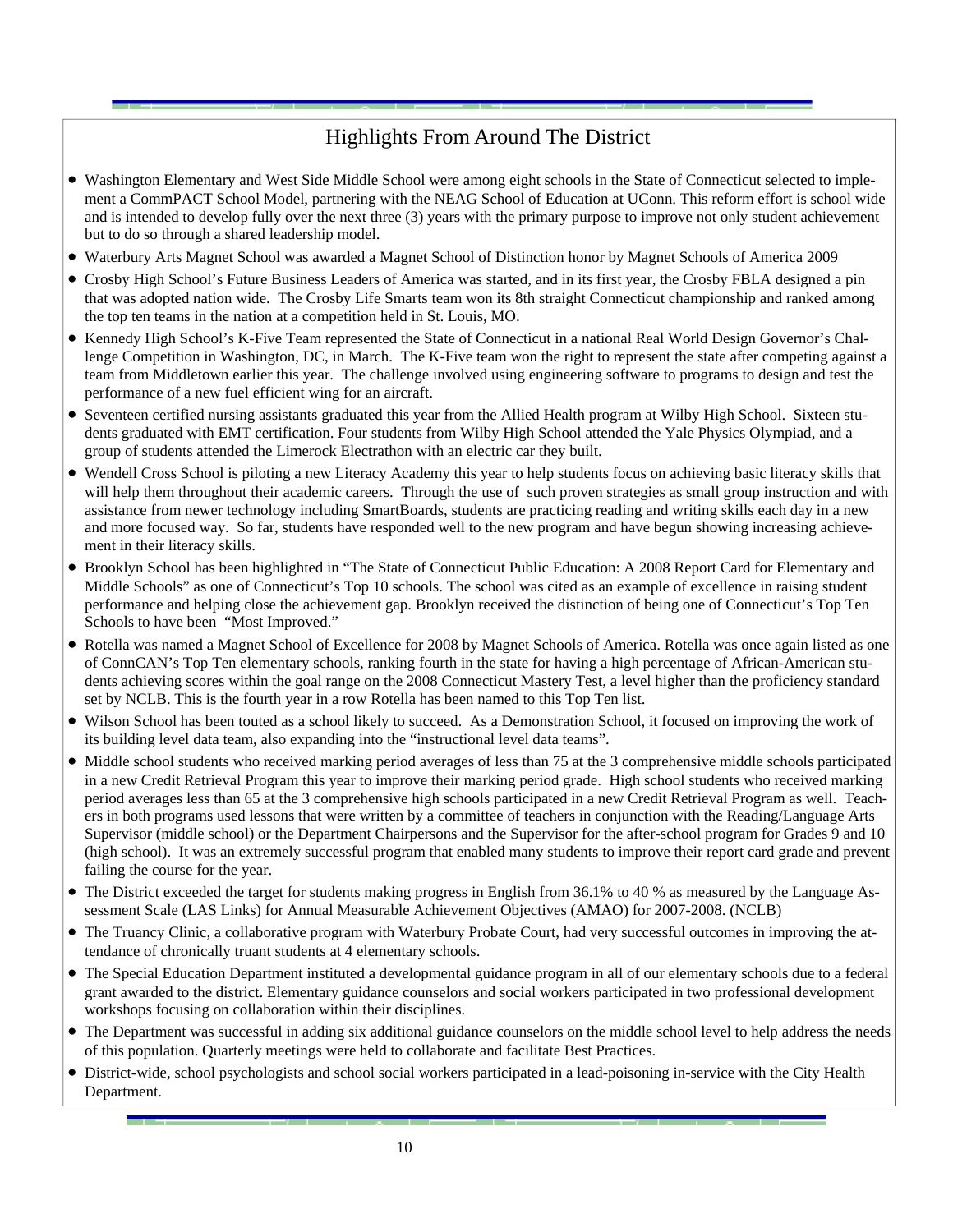### Highlights From Around The District

- Washington Elementary and West Side Middle School were among eight schools in the State of Connecticut selected to implement a CommPACT School Model, partnering with the NEAG School of Education at UConn. This reform effort is school wide and is intended to develop fully over the next three (3) years with the primary purpose to improve not only student achievement but to do so through a shared leadership model.
- Waterbury Arts Magnet School was awarded a Magnet School of Distinction honor by Magnet Schools of America 2009
- Crosby High School's Future Business Leaders of America was started, and in its first year, the Crosby FBLA designed a pin that was adopted nation wide. The Crosby Life Smarts team won its 8th straight Connecticut championship and ranked among the top ten teams in the nation at a competition held in St. Louis, MO.
- Kennedy High School's K-Five Team represented the State of Connecticut in a national Real World Design Governor's Challenge Competition in Washington, DC, in March. The K-Five team won the right to represent the state after competing against a team from Middletown earlier this year. The challenge involved using engineering software to programs to design and test the performance of a new fuel efficient wing for an aircraft.
- Seventeen certified nursing assistants graduated this year from the Allied Health program at Wilby High School. Sixteen students graduated with EMT certification. Four students from Wilby High School attended the Yale Physics Olympiad, and a group of students attended the Limerock Electrathon with an electric car they built.
- Wendell Cross School is piloting a new Literacy Academy this year to help students focus on achieving basic literacy skills that will help them throughout their academic careers. Through the use of such proven strategies as small group instruction and with assistance from newer technology including SmartBoards, students are practicing reading and writing skills each day in a new and more focused way. So far, students have responded well to the new program and have begun showing increasing achievement in their literacy skills.
- Brooklyn School has been highlighted in "The State of Connecticut Public Education: A 2008 Report Card for Elementary and Middle Schools" as one of Connecticut's Top 10 schools. The school was cited as an example of excellence in raising student performance and helping close the achievement gap. Brooklyn received the distinction of being one of Connecticut's Top Ten Schools to have been "Most Improved."
- Rotella was named a Magnet School of Excellence for 2008 by Magnet Schools of America. Rotella was once again listed as one of ConnCAN's Top Ten elementary schools, ranking fourth in the state for having a high percentage of African-American students achieving scores within the goal range on the 2008 Connecticut Mastery Test, a level higher than the proficiency standard set by NCLB. This is the fourth year in a row Rotella has been named to this Top Ten list.
- Wilson School has been touted as a school likely to succeed. As a Demonstration School, it focused on improving the work of its building level data team, also expanding into the "instructional level data teams".
- Middle school students who received marking period averages of less than 75 at the 3 comprehensive middle schools participated in a new Credit Retrieval Program this year to improve their marking period grade. High school students who received marking period averages less than 65 at the 3 comprehensive high schools participated in a new Credit Retrieval Program as well. Teachers in both programs used lessons that were written by a committee of teachers in conjunction with the Reading/Language Arts Supervisor (middle school) or the Department Chairpersons and the Supervisor for the after-school program for Grades 9 and 10 (high school). It was an extremely successful program that enabled many students to improve their report card grade and prevent failing the course for the year.
- The District exceeded the target for students making progress in English from 36.1% to 40 % as measured by the Language Assessment Scale (LAS Links) for Annual Measurable Achievement Objectives (AMAO) for 2007-2008. (NCLB)
- The Truancy Clinic, a collaborative program with Waterbury Probate Court, had very successful outcomes in improving the attendance of chronically truant students at 4 elementary schools.
- The Special Education Department instituted a developmental guidance program in all of our elementary schools due to a federal grant awarded to the district. Elementary guidance counselors and social workers participated in two professional development workshops focusing on collaboration within their disciplines.
- The Department was successful in adding six additional guidance counselors on the middle school level to help address the needs of this population. Quarterly meetings were held to collaborate and facilitate Best Practices.
- District-wide, school psychologists and school social workers participated in a lead-poisoning in-service with the City Health Department.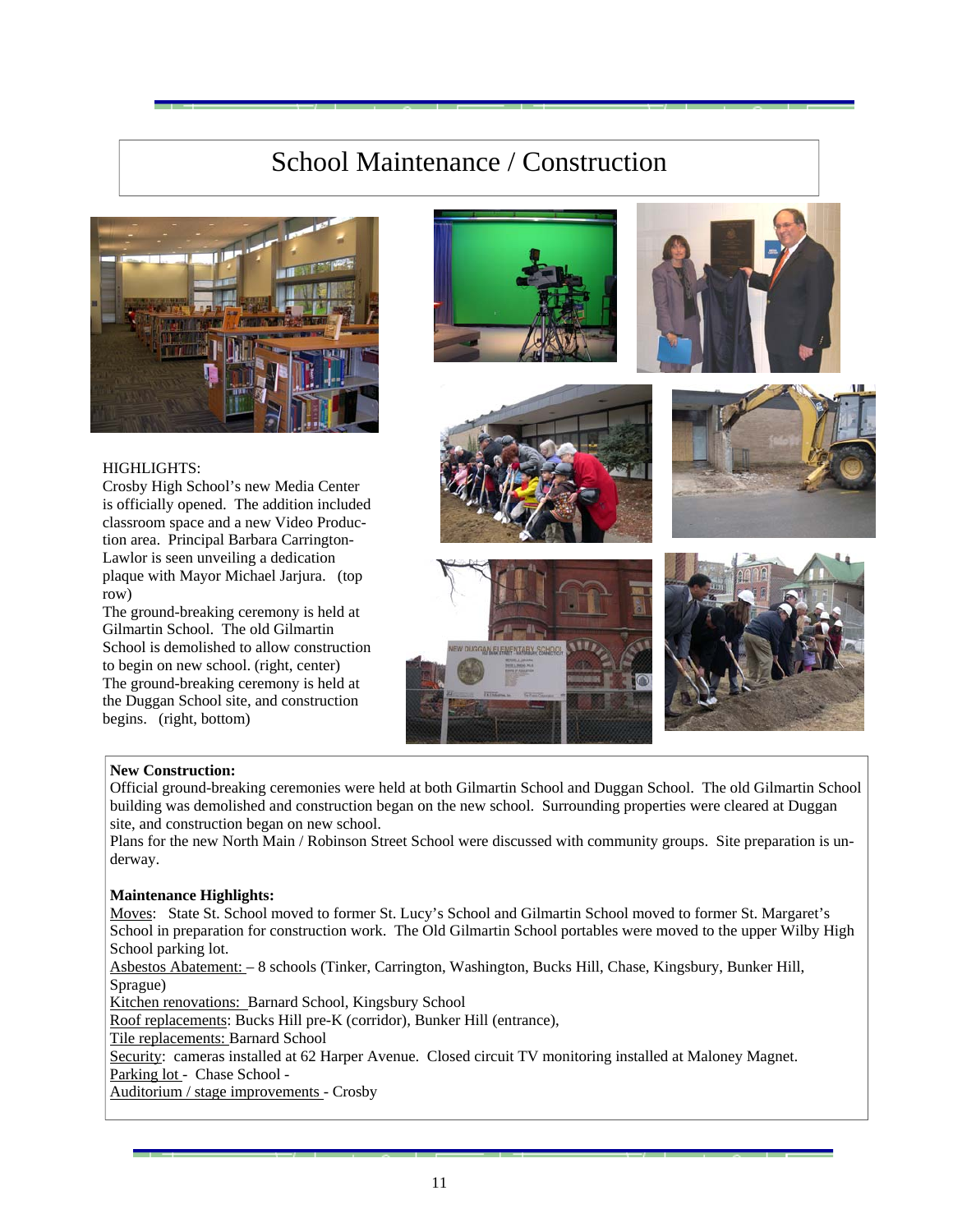### School Maintenance / Construction



### HIGHLIGHTS:

Crosby High School's new Media Center is officially opened. The addition included classroom space and a new Video Production area. Principal Barbara Carrington-Lawlor is seen unveiling a dedication plaque with Mayor Michael Jarjura. (top row)

The ground-breaking ceremony is held at Gilmartin School. The old Gilmartin School is demolished to allow construction to begin on new school. (right, center) The ground-breaking ceremony is held at the Duggan School site, and construction begins. (right, bottom)













### **New Construction:**

Official ground-breaking ceremonies were held at both Gilmartin School and Duggan School. The old Gilmartin School building was demolished and construction began on the new school. Surrounding properties were cleared at Duggan site, and construction began on new school.

Plans for the new North Main / Robinson Street School were discussed with community groups. Site preparation is underway.

### **Maintenance Highlights:**

Moves: State St. School moved to former St. Lucy's School and Gilmartin School moved to former St. Margaret's School in preparation for construction work. The Old Gilmartin School portables were moved to the upper Wilby High School parking lot.

Asbestos Abatement: – 8 schools (Tinker, Carrington, Washington, Bucks Hill, Chase, Kingsbury, Bunker Hill, Sprague)

Kitchen renovations: Barnard School, Kingsbury School

Roof replacements: Bucks Hill pre-K (corridor), Bunker Hill (entrance),

Tile replacements: Barnard School

Security: cameras installed at 62 Harper Avenue. Closed circuit TV monitoring installed at Maloney Magnet. Parking lot - Chase School -

Auditorium / stage improvements - Crosby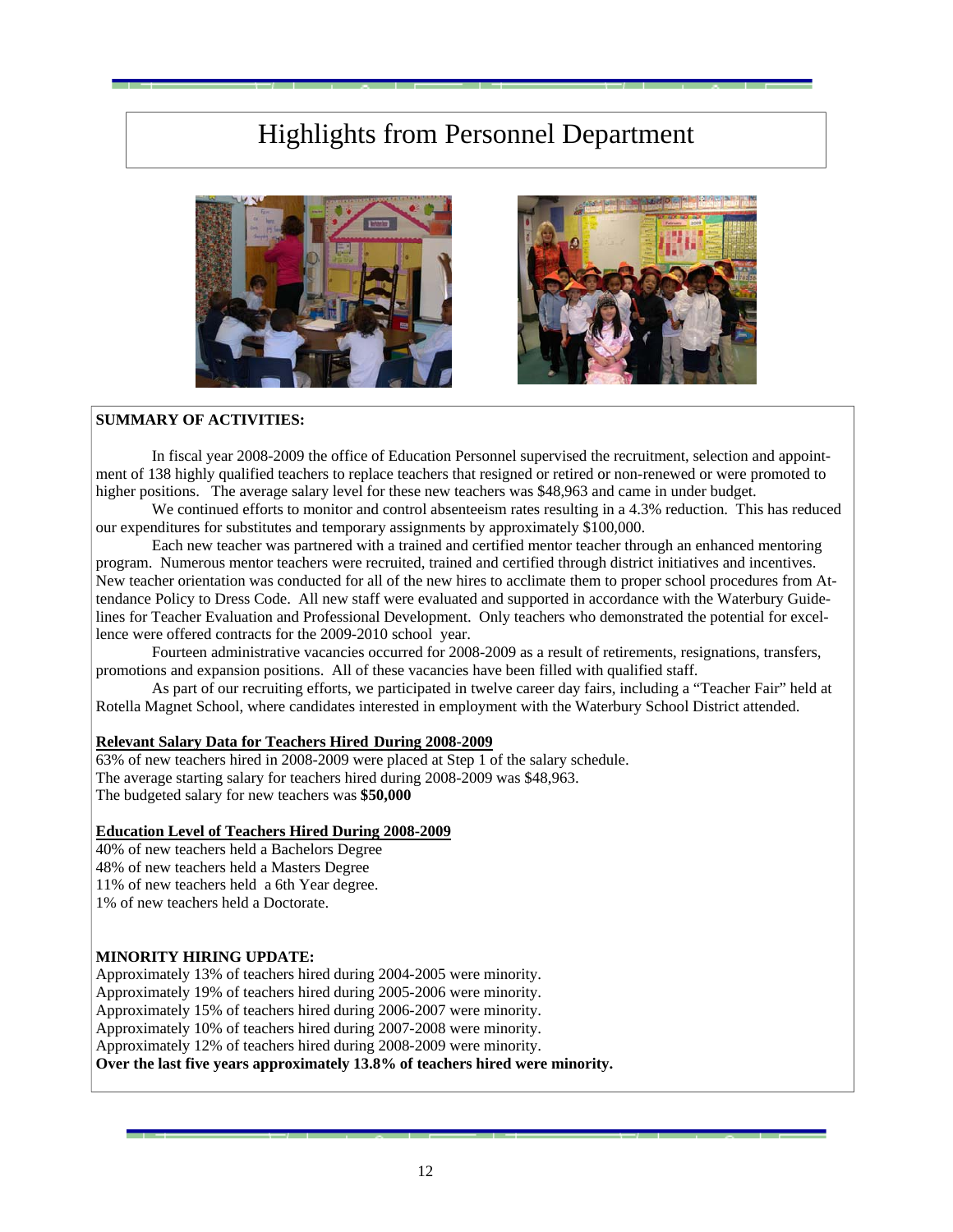### Highlights from Personnel Department





### **SUMMARY OF ACTIVITIES:**

In fiscal year 2008-2009 the office of Education Personnel supervised the recruitment, selection and appointment of 138 highly qualified teachers to replace teachers that resigned or retired or non-renewed or were promoted to higher positions. The average salary level for these new teachers was \$48,963 and came in under budget.

We continued efforts to monitor and control absenteeism rates resulting in a 4.3% reduction. This has reduced our expenditures for substitutes and temporary assignments by approximately \$100,000.

 Each new teacher was partnered with a trained and certified mentor teacher through an enhanced mentoring program. Numerous mentor teachers were recruited, trained and certified through district initiatives and incentives. New teacher orientation was conducted for all of the new hires to acclimate them to proper school procedures from Attendance Policy to Dress Code. All new staff were evaluated and supported in accordance with the Waterbury Guidelines for Teacher Evaluation and Professional Development. Only teachers who demonstrated the potential for excellence were offered contracts for the 2009-2010 school year.

Fourteen administrative vacancies occurred for 2008-2009 as a result of retirements, resignations, transfers, promotions and expansion positions. All of these vacancies have been filled with qualified staff.

As part of our recruiting efforts, we participated in twelve career day fairs, including a "Teacher Fair" held at Rotella Magnet School, where candidates interested in employment with the Waterbury School District attended.

### **Relevant Salary Data for Teachers Hired During 2008-2009**

63% of new teachers hired in 2008-2009 were placed at Step 1 of the salary schedule. The average starting salary for teachers hired during 2008-2009 was \$48,963. The budgeted salary for new teachers was **\$50,000**

#### **Education Level of Teachers Hired During 2008-2009**

40% of new teachers held a Bachelors Degree

48% of new teachers held a Masters Degree

11% of new teachers held a 6th Year degree.

1% of new teachers held a Doctorate.

#### **MINORITY HIRING UPDATE:**

Approximately 13% of teachers hired during 2004-2005 were minority.

Approximately 19% of teachers hired during 2005-2006 were minority.

Approximately 15% of teachers hired during 2006-2007 were minority.

Approximately 10% of teachers hired during 2007-2008 were minority.

Approximately 12% of teachers hired during 2008-2009 were minority.

**Over the last five years approximately 13.8% of teachers hired were minority.**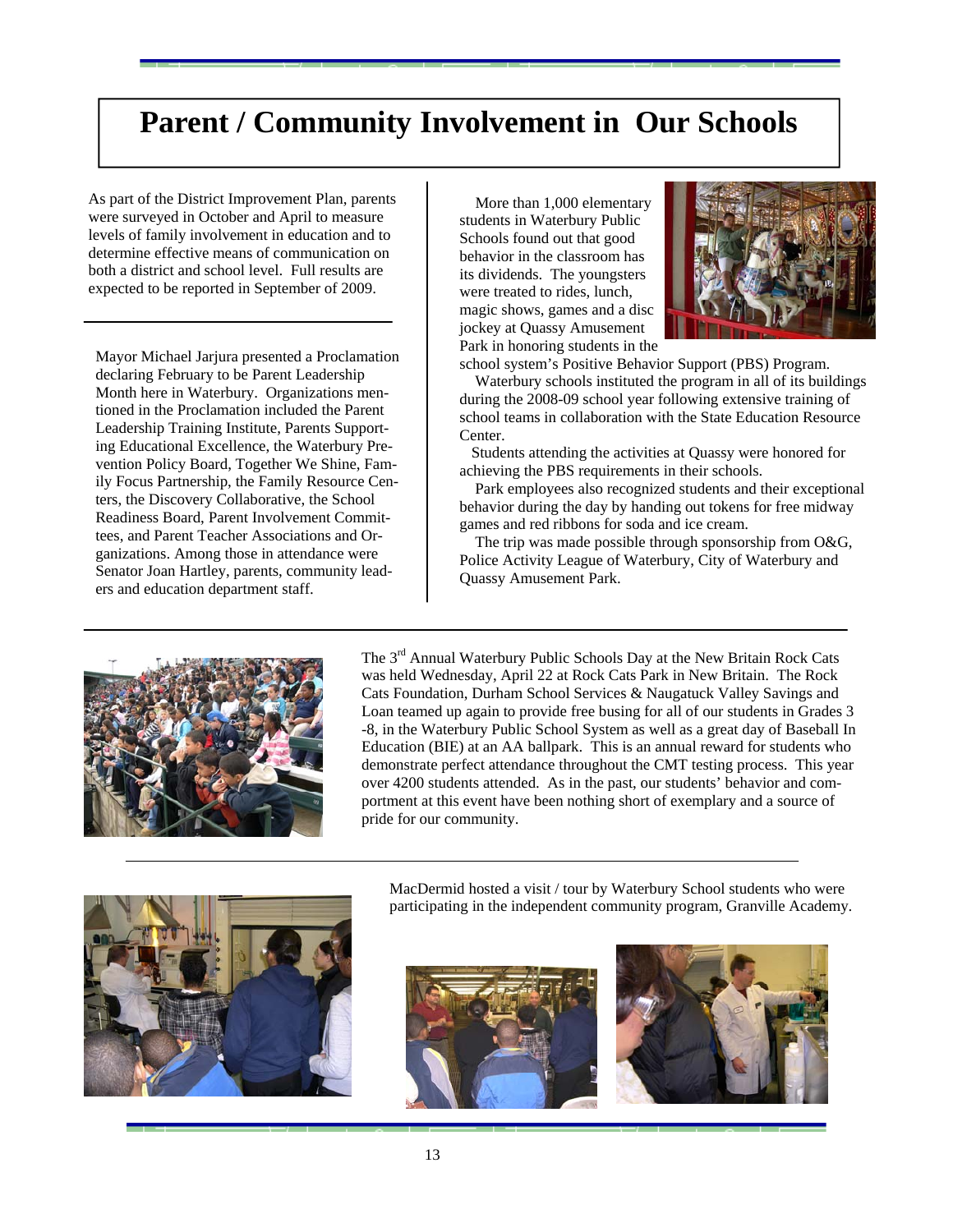### **Parent / Community Involvement in Our Schools**

As part of the District Improvement Plan, parents were surveyed in October and April to measure levels of family involvement in education and to determine effective means of communication on both a district and school level. Full results are expected to be reported in September of 2009.

Mayor Michael Jarjura presented a Proclamation declaring February to be Parent Leadership Month here in Waterbury. Organizations mentioned in the Proclamation included the Parent Leadership Training Institute, Parents Supporting Educational Excellence, the Waterbury Prevention Policy Board, Together We Shine, Family Focus Partnership, the Family Resource Centers, the Discovery Collaborative, the School Readiness Board, Parent Involvement Committees, and Parent Teacher Associations and Organizations. Among those in attendance were Senator Joan Hartley, parents, community leaders and education department staff.

 More than 1,000 elementary students in Waterbury Public Schools found out that good behavior in the classroom has its dividends. The youngsters were treated to rides, lunch, magic shows, games and a disc jockey at Quassy Amusement Park in honoring students in the



school system's Positive Behavior Support (PBS) Program.

 Waterbury schools instituted the program in all of its buildings during the 2008-09 school year following extensive training of school teams in collaboration with the State Education Resource Center.

 Students attending the activities at Quassy were honored for achieving the PBS requirements in their schools.

 Park employees also recognized students and their exceptional behavior during the day by handing out tokens for free midway games and red ribbons for soda and ice cream.

 The trip was made possible through sponsorship from O&G, Police Activity League of Waterbury, City of Waterbury and Quassy Amusement Park.



The 3<sup>rd</sup> Annual Waterbury Public Schools Day at the New Britain Rock Cats was held Wednesday, April 22 at Rock Cats Park in New Britain. The Rock Cats Foundation, Durham School Services & Naugatuck Valley Savings and Loan teamed up again to provide free busing for all of our students in Grades 3 -8, in the Waterbury Public School System as well as a great day of Baseball In Education (BIE) at an AA ballpark. This is an annual reward for students who demonstrate perfect attendance throughout the CMT testing process. This year over 4200 students attended. As in the past, our students' behavior and comportment at this event have been nothing short of exemplary and a source of pride for our community.



MacDermid hosted a visit / tour by Waterbury School students who were participating in the independent community program, Granville Academy.



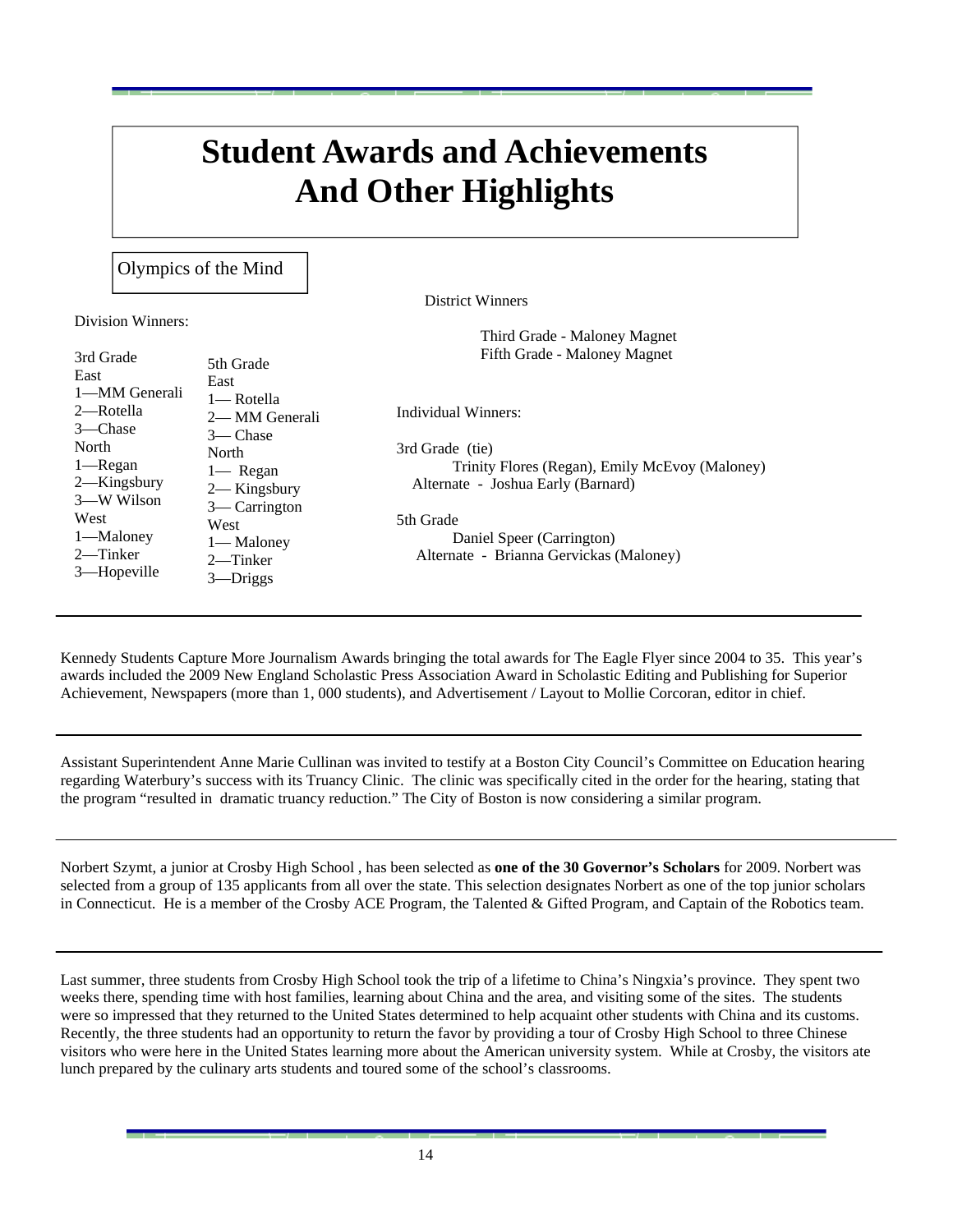# **Student Awards and Achievements And Other Highlights**

Olympics of the Mind

District Winners

Third Grade - Maloney Magnet

Division Winners:

3rd Grade East 1—MM Generali 2—Rotella 3—Chase North 1—Regan 2—Kingsbury 3—W Wilson West 1—Maloney 2—Tinker 3—Hopeville 5th Grade East 1— Rotella 2— MM Generali 3— Chase North 1— Regan 2— Kingsbury 3— Carrington West 1— Maloney 2—Tinker 3—Driggs Individual Winners: 3rd Grade (tie) Trinity Flores (Regan), Emily McEvoy (Maloney) Alternate - Joshua Early (Barnard) 5th Grade Daniel Speer (Carrington) Alternate - Brianna Gervickas (Maloney) Fifth Grade - Maloney Magnet

Kennedy Students Capture More Journalism Awards bringing the total awards for The Eagle Flyer since 2004 to 35. This year's awards included the 2009 New England Scholastic Press Association Award in Scholastic Editing and Publishing for Superior Achievement, Newspapers (more than 1, 000 students), and Advertisement / Layout to Mollie Corcoran, editor in chief.

Assistant Superintendent Anne Marie Cullinan was invited to testify at a Boston City Council's Committee on Education hearing regarding Waterbury's success with its Truancy Clinic. The clinic was specifically cited in the order for the hearing, stating that the program "resulted in dramatic truancy reduction." The City of Boston is now considering a similar program.

Norbert Szymt, a junior at Crosby High School , has been selected as **one of the 30 Governor's Scholars** for 2009. Norbert was selected from a group of 135 applicants from all over the state. This selection designates Norbert as one of the top junior scholars in Connecticut. He is a member of the Crosby ACE Program, the Talented & Gifted Program, and Captain of the Robotics team.

Last summer, three students from Crosby High School took the trip of a lifetime to China's Ningxia's province. They spent two weeks there, spending time with host families, learning about China and the area, and visiting some of the sites. The students were so impressed that they returned to the United States determined to help acquaint other students with China and its customs. Recently, the three students had an opportunity to return the favor by providing a tour of Crosby High School to three Chinese visitors who were here in the United States learning more about the American university system. While at Crosby, the visitors ate lunch prepared by the culinary arts students and toured some of the school's classrooms.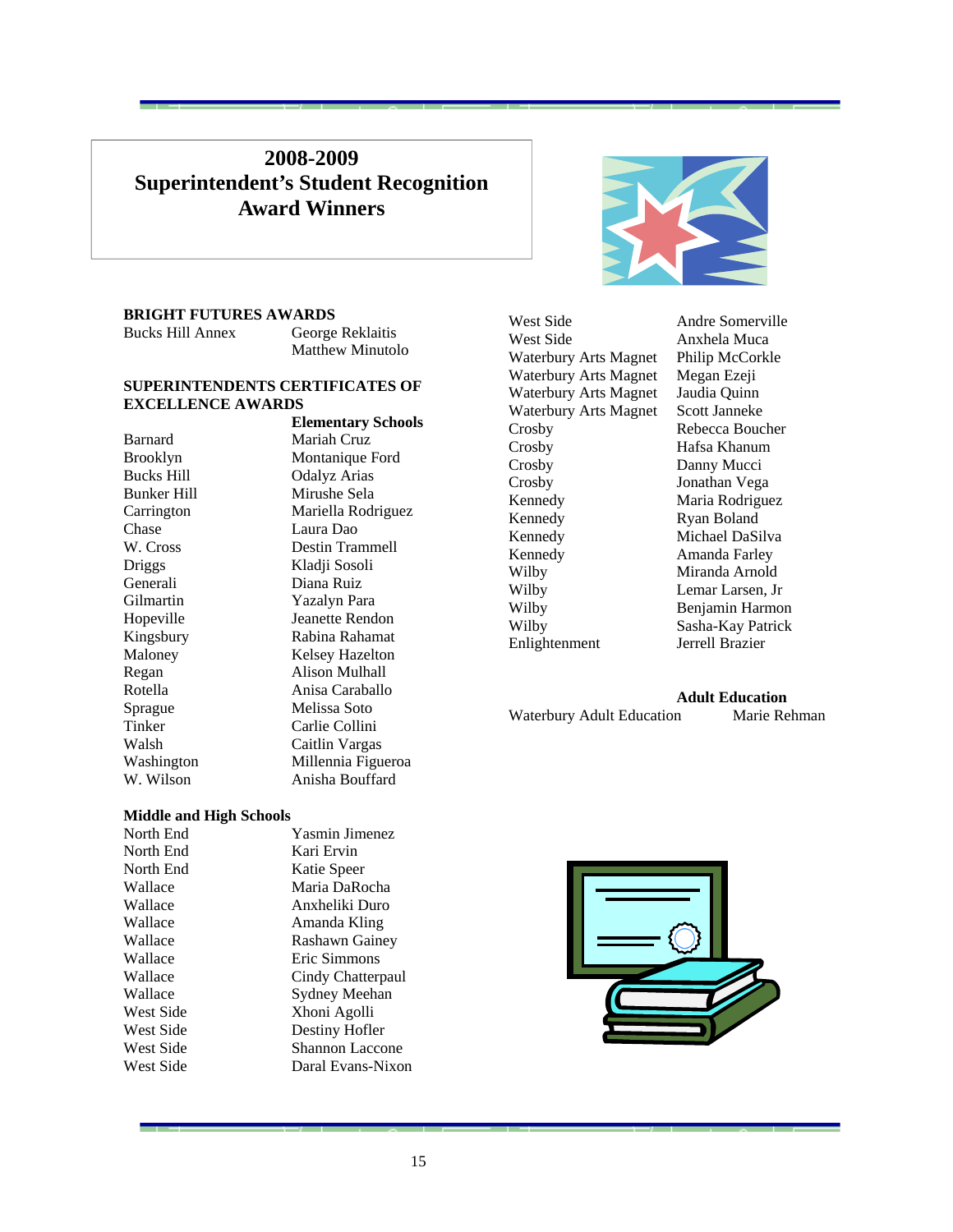### **2008-2009 Superintendent's Student Recognition Award Winners**

### **BRIGHT FUTURES AWARDS**

| <b>Bucks Hill Annex</b> | George Reklaitis        |
|-------------------------|-------------------------|
|                         | <b>Matthew Minutolo</b> |

#### **SUPERINTENDENTS CERTIFICATES OF EXCELLENCE AWARDS**

|                   | <b>Elementary Schools</b> |
|-------------------|---------------------------|
| Barnard           | Mariah Cruz               |
| Brooklyn          | Montanique Ford           |
| <b>Bucks Hill</b> | Odalyz Arias              |
| Bunker Hill       | Mirushe Sela              |
| Carrington        | Mariella Rodriguez        |
| Chase             | Laura Dao                 |
| W. Cross          | Destin Trammell           |
| Driggs            | Kladji Sosoli             |
| Generali          | Diana Ruiz                |
| Gilmartin         | Yazalyn Para              |
| Hopeville         | Jeanette Rendon           |
| Kingsbury         | Rabina Rahamat            |
| Maloney           | Kelsey Hazelton           |
| Regan             | Alison Mulhall            |
| Rotella           | Anisa Caraballo           |
| Sprague           | Melissa Soto              |
| Tinker            | Carlie Collini            |
| Walsh             | Caitlin Vargas            |
| Washington        | Millennia Figueroa        |
| W. Wilson         | Anisha Bouffard           |
|                   |                           |

West Side Anxhela Muca Waterbury Arts Magnet Philip McCorkle Waterbury Arts Magnet Megan Ezeji Waterbury Arts Magnet Jaudia Quinn<br>Waterbury Arts Magnet Scott Janneke Waterbury Arts Magnet Crosby Rebecca Boucher Crosby Hafsa Khanum Crosby Danny Mucci Crosby Jonathan Vega Kennedy Maria Rodriguez Kennedy Ryan Boland Kennedy Michael DaSilva Kennedy Amanda Farley Wilby Miranda Arnold Wilby Lemar Larsen, Jr Wilby Benjamin Harmon Wilby Sasha-Kay Patrick<br>Enlightenment Jerrell Brazier Enlightenment

West Side Andre Somerville

 **Adult Education**  Waterbury Adult Education Marie Rehman

### **Middle and High Schools**

| North End | <b>Yasmin Jimenez</b>  |
|-----------|------------------------|
| North End | Kari Ervin             |
| North End | Katie Speer            |
| Wallace   | Maria DaRocha          |
| Wallace   | Anxheliki Duro         |
| Wallace   | Amanda Kling           |
| Wallace   | Rashawn Gainey         |
| Wallace   | Eric Simmons           |
| Wallace   | Cindy Chatterpaul      |
| Wallace   | Sydney Meehan          |
| West Side | Xhoni Agolli           |
| West Side | Destiny Hofler         |
| West Side | <b>Shannon Laccone</b> |
| West Side | Daral Evans-Nixon      |
|           |                        |

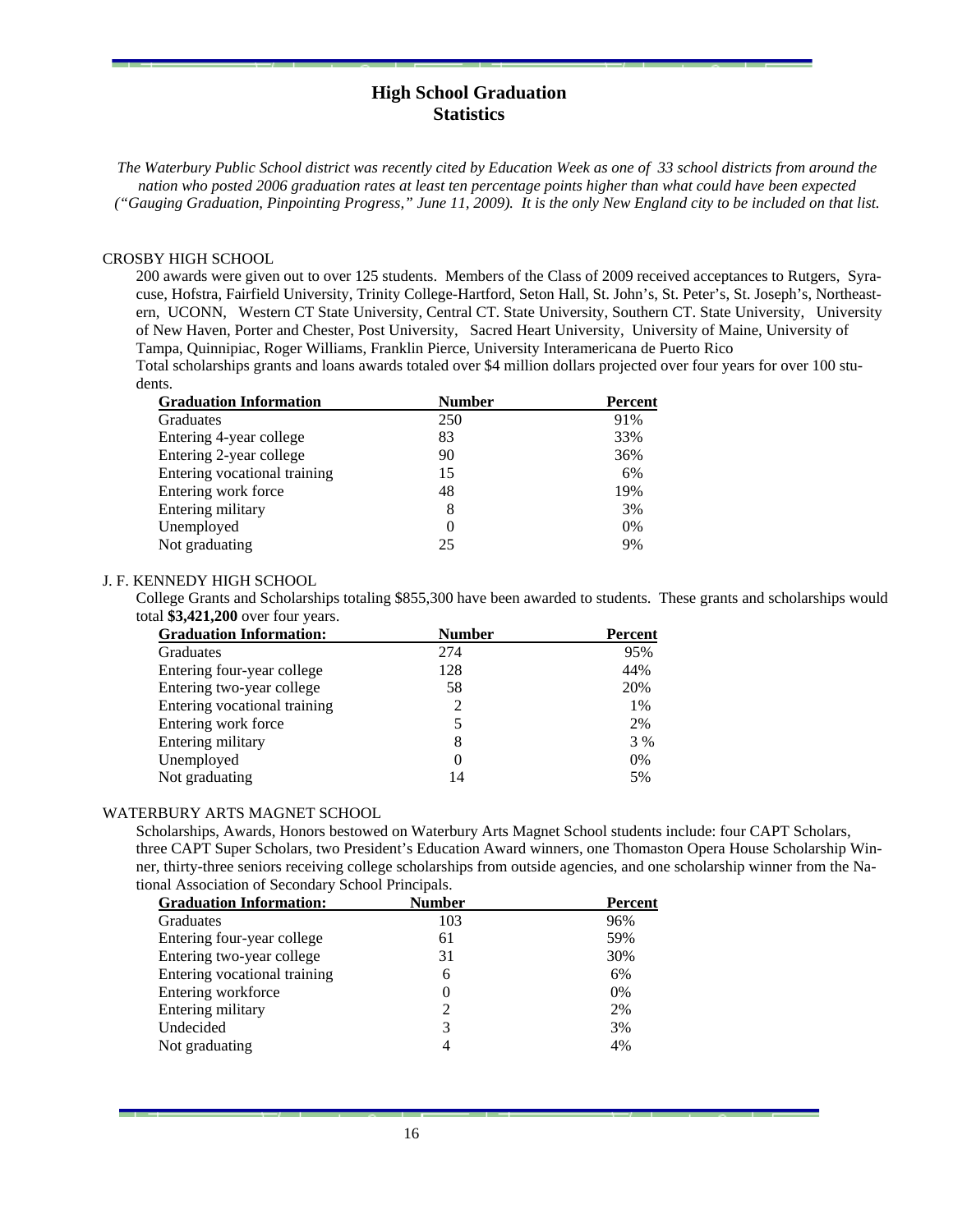### **High School Graduation Statistics**

*The Waterbury Public School district was recently cited by Education Week as one of 33 school districts from around the nation who posted 2006 graduation rates at least ten percentage points higher than what could have been expected ("Gauging Graduation, Pinpointing Progress," June 11, 2009). It is the only New England city to be included on that list.* 

#### CROSBY HIGH SCHOOL

200 awards were given out to over 125 students. Members of the Class of 2009 received acceptances to Rutgers, Syracuse, Hofstra, Fairfield University, Trinity College-Hartford, Seton Hall, St. John's, St. Peter's, St. Joseph's, Northeastern, UCONN, Western CT State University, Central CT. State University, Southern CT. State University, University of New Haven, Porter and Chester, Post University, Sacred Heart University, University of Maine, University of Tampa, Quinnipiac, Roger Williams, Franklin Pierce, University Interamericana de Puerto Rico Total scholarships grants and loans awards totaled over \$4 million dollars projected over four years for over 100 stu-

dents.

| <b>Graduation Information</b> | <b>Number</b> | <b>Percent</b> |
|-------------------------------|---------------|----------------|
| Graduates                     | 250           | 91%            |
| Entering 4-year college       | 83            | 33%            |
| Entering 2-year college       | 90            | 36%            |
| Entering vocational training  | 15            | 6%             |
| Entering work force           | 48            | 19%            |
| Entering military             | 8             | 3%             |
| Unemployed                    |               | 0%             |
| Not graduating                | 25            | 9%             |
|                               |               |                |

### J. F. KENNEDY HIGH SCHOOL

College Grants and Scholarships totaling \$855,300 have been awarded to students. These grants and scholarships would total **\$3,421,200** over four years.

| <b>Graduation Information:</b> | <b>Number</b> | Percent |
|--------------------------------|---------------|---------|
| Graduates                      | 274           | 95%     |
| Entering four-year college     | 128           | 44%     |
| Entering two-year college      | 58            | 20%     |
| Entering vocational training   | 2             | 1%      |
| Entering work force            |               | 2%      |
| Entering military              | 8             | 3 %     |
| Unemployed                     |               | 0%      |
| Not graduating                 | 14            | 5%      |

#### WATERBURY ARTS MAGNET SCHOOL

Scholarships, Awards, Honors bestowed on Waterbury Arts Magnet School students include: four CAPT Scholars, three CAPT Super Scholars, two President's Education Award winners, one Thomaston Opera House Scholarship Winner, thirty-three seniors receiving college scholarships from outside agencies, and one scholarship winner from the National Association of Secondary School Principals.

| <b>Graduation Information:</b> | <b>Number</b> | <b>Percent</b> |
|--------------------------------|---------------|----------------|
| <b>Graduates</b>               | 103           | 96%            |
| Entering four-year college     | 61            | 59%            |
| Entering two-year college      | 31            | 30%            |
| Entering vocational training   | 6             | 6%             |
| Entering workforce             | 0             | 0%             |
| Entering military              | 2             | 2%             |
| Undecided                      | 3             | 3%             |
| Not graduating                 |               | 4%             |
|                                |               |                |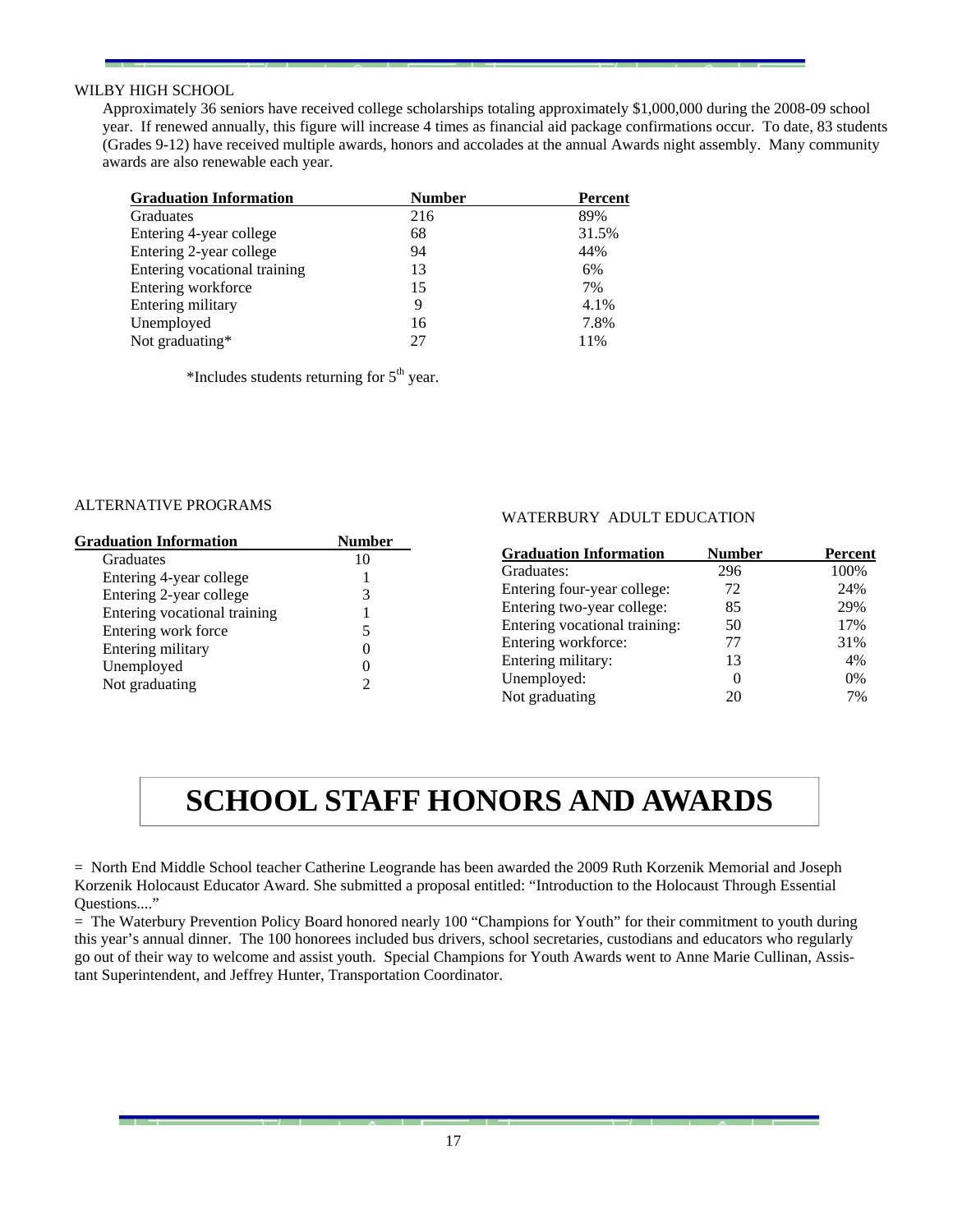### WILBY HIGH SCHOOL

Approximately 36 seniors have received college scholarships totaling approximately \$1,000,000 during the 2008-09 school year. If renewed annually, this figure will increase 4 times as financial aid package confirmations occur. To date, 83 students (Grades 9-12) have received multiple awards, honors and accolades at the annual Awards night assembly. Many community awards are also renewable each year.

| <b>Graduation Information</b> | <b>Number</b> | Percent |
|-------------------------------|---------------|---------|
| <b>Graduates</b>              | 216           | 89%     |
| Entering 4-year college       | 68            | 31.5%   |
| Entering 2-year college       | 94            | 44%     |
| Entering vocational training  | 13            | 6%      |
| Entering workforce            | 15            | 7%      |
| Entering military             | 9             | 4.1%    |
| Unemployed                    | 16            | 7.8%    |
| Not graduating*               |               | 11%     |

\*Includes students returning for  $5<sup>th</sup>$  year.

### ALTERNATIVE PROGRAMS

| <b>Graduation Information</b> | <b>Number</b> |
|-------------------------------|---------------|
| Graduates                     | 10            |
| Entering 4-year college       |               |
| Entering 2-year college       |               |
| Entering vocational training  |               |
| Entering work force           |               |
| Entering military             |               |
| Unemployed                    |               |
| Not graduating                |               |

### WATERBURY ADULT EDUCATION

| <b>Graduation Information</b> | <b>Number</b> | <b>Percent</b> |
|-------------------------------|---------------|----------------|
| Graduates:                    | 296           | 100%           |
| Entering four-year college:   | 72            | 24%            |
| Entering two-year college:    | 85            | 29%            |
| Entering vocational training: | 50            | 17%            |
| Entering workforce:           | 77            | 31%            |
| Entering military:            | 13            | 4%             |
| Unemployed:                   | 0             | 0%             |
| Not graduating                | 20            | 7%             |

# **SCHOOL STAFF HONORS AND AWARDS**

= North End Middle School teacher Catherine Leogrande has been awarded the 2009 Ruth Korzenik Memorial and Joseph Korzenik Holocaust Educator Award. She submitted a proposal entitled: "Introduction to the Holocaust Through Essential Ouestions...."

= The Waterbury Prevention Policy Board honored nearly 100 "Champions for Youth" for their commitment to youth during this year's annual dinner. The 100 honorees included bus drivers, school secretaries, custodians and educators who regularly go out of their way to welcome and assist youth. Special Champions for Youth Awards went to Anne Marie Cullinan, Assistant Superintendent, and Jeffrey Hunter, Transportation Coordinator.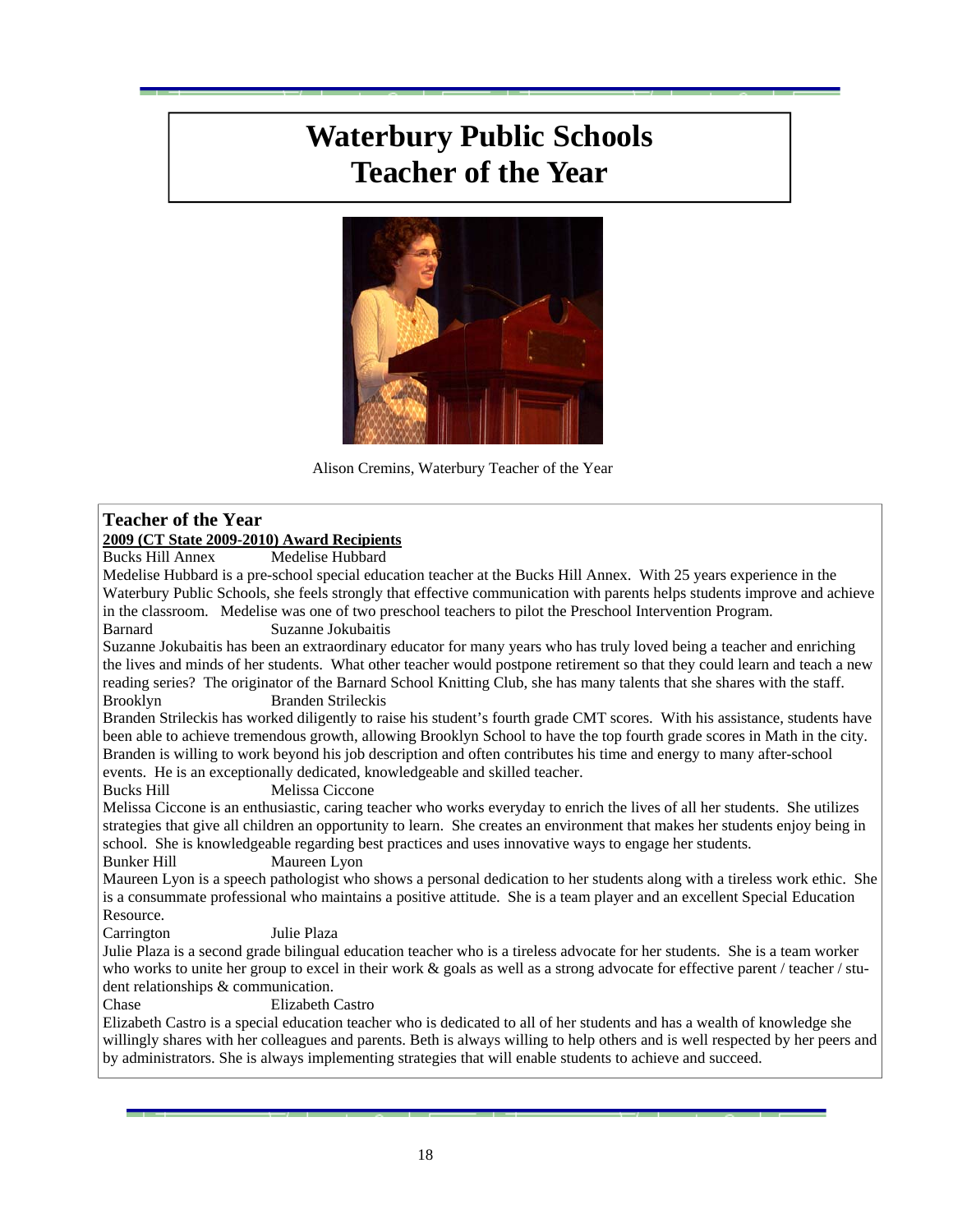# **Waterbury Public Schools Teacher of the Year**



Alison Cremins, Waterbury Teacher of the Year

### **Teacher of the Year**

### **2009 (CT State 2009-2010) Award Recipients**

Medelise Hubbard

Medelise Hubbard is a pre-school special education teacher at the Bucks Hill Annex. With 25 years experience in the Waterbury Public Schools, she feels strongly that effective communication with parents helps students improve and achieve in the classroom. Medelise was one of two preschool teachers to pilot the Preschool Intervention Program.

### Barnard Suzanne Jokubaitis

Suzanne Jokubaitis has been an extraordinary educator for many years who has truly loved being a teacher and enriching the lives and minds of her students. What other teacher would postpone retirement so that they could learn and teach a new reading series? The originator of the Barnard School Knitting Club, she has many talents that she shares with the staff. Brooklyn Branden Strileckis

Branden Strileckis has worked diligently to raise his student's fourth grade CMT scores. With his assistance, students have been able to achieve tremendous growth, allowing Brooklyn School to have the top fourth grade scores in Math in the city. Branden is willing to work beyond his job description and often contributes his time and energy to many after-school events. He is an exceptionally dedicated, knowledgeable and skilled teacher.

Bucks Hill Melissa Ciccone

Melissa Ciccone is an enthusiastic, caring teacher who works everyday to enrich the lives of all her students. She utilizes strategies that give all children an opportunity to learn. She creates an environment that makes her students enjoy being in school. She is knowledgeable regarding best practices and uses innovative ways to engage her students.

Bunker Hill Maureen Lyon

Maureen Lyon is a speech pathologist who shows a personal dedication to her students along with a tireless work ethic. She is a consummate professional who maintains a positive attitude. She is a team player and an excellent Special Education Resource.

Carrington Julie Plaza

Julie Plaza is a second grade bilingual education teacher who is a tireless advocate for her students. She is a team worker who works to unite her group to excel in their work  $\&$  goals as well as a strong advocate for effective parent / teacher / student relationships & communication.

Chase Elizabeth Castro

Elizabeth Castro is a special education teacher who is dedicated to all of her students and has a wealth of knowledge she willingly shares with her colleagues and parents. Beth is always willing to help others and is well respected by her peers and by administrators. She is always implementing strategies that will enable students to achieve and succeed.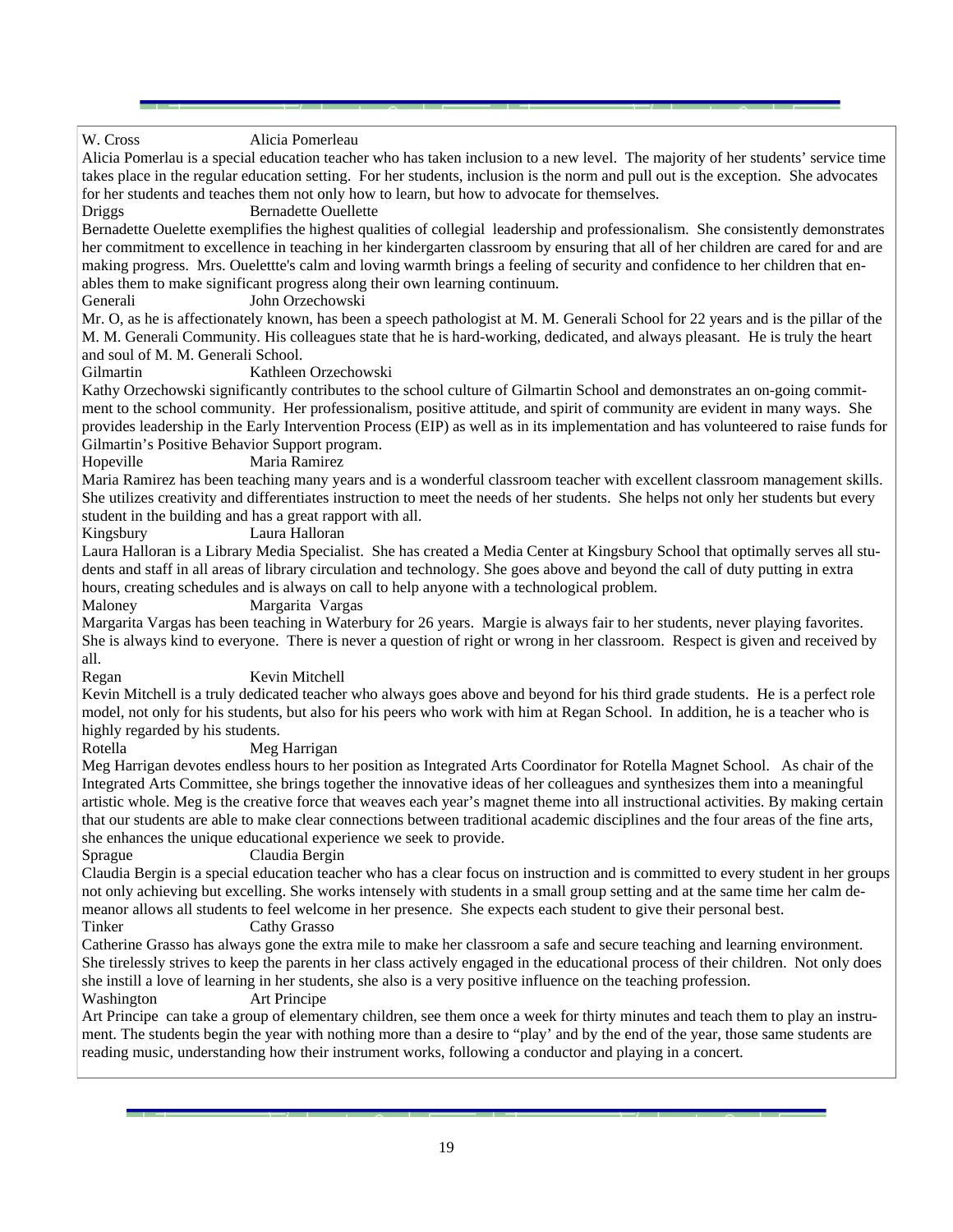#### W. Cross Alicia Pomerleau

Alicia Pomerlau is a special education teacher who has taken inclusion to a new level. The majority of her students' service time takes place in the regular education setting. For her students, inclusion is the norm and pull out is the exception. She advocates for her students and teaches them not only how to learn, but how to advocate for themselves.

Driggs Bernadette Ouellette

Bernadette Ouelette exemplifies the highest qualities of collegial leadership and professionalism. She consistently demonstrates her commitment to excellence in teaching in her kindergarten classroom by ensuring that all of her children are cared for and are making progress. Mrs. Ouelettte's calm and loving warmth brings a feeling of security and confidence to her children that enables them to make significant progress along their own learning continuum.

Generali John Orzechowski

Mr. O, as he is affectionately known, has been a speech pathologist at M. M. Generali School for 22 years and is the pillar of the M. M. Generali Community. His colleagues state that he is hard-working, dedicated, and always pleasant. He is truly the heart and soul of M. M. Generali School.

Gilmartin Kathleen Orzechowski

Kathy Orzechowski significantly contributes to the school culture of Gilmartin School and demonstrates an on-going commitment to the school community. Her professionalism, positive attitude, and spirit of community are evident in many ways. She provides leadership in the Early Intervention Process (EIP) as well as in its implementation and has volunteered to raise funds for Gilmartin's Positive Behavior Support program.

Hopeville Maria Ramirez

Maria Ramirez has been teaching many years and is a wonderful classroom teacher with excellent classroom management skills. She utilizes creativity and differentiates instruction to meet the needs of her students. She helps not only her students but every student in the building and has a great rapport with all.

Kingsbury Laura Halloran

Laura Halloran is a Library Media Specialist. She has created a Media Center at Kingsbury School that optimally serves all students and staff in all areas of library circulation and technology. She goes above and beyond the call of duty putting in extra hours, creating schedules and is always on call to help anyone with a technological problem.

Maloney Margarita Vargas

Margarita Vargas has been teaching in Waterbury for 26 years. Margie is always fair to her students, never playing favorites. She is always kind to everyone. There is never a question of right or wrong in her classroom. Respect is given and received by all.

Regan Kevin Mitchell

Kevin Mitchell is a truly dedicated teacher who always goes above and beyond for his third grade students. He is a perfect role model, not only for his students, but also for his peers who work with him at Regan School. In addition, he is a teacher who is highly regarded by his students.

Rotella Meg Harrigan

Meg Harrigan devotes endless hours to her position as Integrated Arts Coordinator for Rotella Magnet School. As chair of the Integrated Arts Committee, she brings together the innovative ideas of her colleagues and synthesizes them into a meaningful artistic whole. Meg is the creative force that weaves each year's magnet theme into all instructional activities. By making certain that our students are able to make clear connections between traditional academic disciplines and the four areas of the fine arts, she enhances the unique educational experience we seek to provide.

Sprague Claudia Bergin

Claudia Bergin is a special education teacher who has a clear focus on instruction and is committed to every student in her groups not only achieving but excelling. She works intensely with students in a small group setting and at the same time her calm demeanor allows all students to feel welcome in her presence. She expects each student to give their personal best.

Tinker Cathy Grasso

Catherine Grasso has always gone the extra mile to make her classroom a safe and secure teaching and learning environment. She tirelessly strives to keep the parents in her class actively engaged in the educational process of their children. Not only does she instill a love of learning in her students, she also is a very positive influence on the teaching profession.

Washington Art Principe

Art Principe can take a group of elementary children, see them once a week for thirty minutes and teach them to play an instrument. The students begin the year with nothing more than a desire to "play' and by the end of the year, those same students are reading music, understanding how their instrument works, following a conductor and playing in a concert.